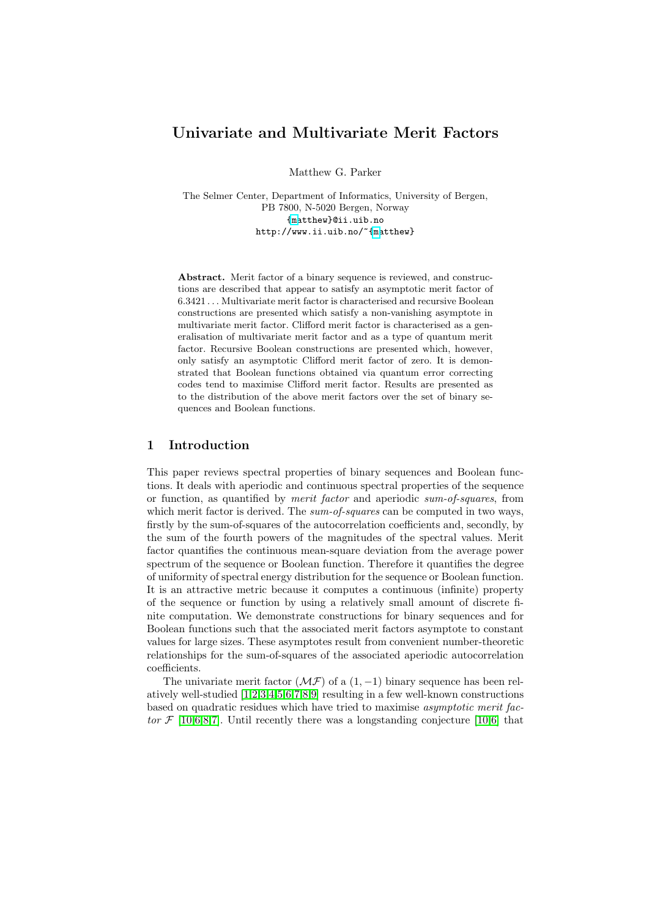# Univariate and Multivariate Merit Factors

Matthew G. Parker

The Selmer Center, Department of Informatics, University of Bergen, PB 7800, N-5020 Bergen, Norway {matthew}@ii.uib.no http://www.ii.uib.no/~{matthew}

Abstract. Merit factor of a binary sequence is reviewed, and constructions are described that appear to satisfy an asymptotic merit factor of 6.3421 . . . Multivariate merit factor is characterised and recursive Boolean constructions are presented which satisfy a non-vanishing asymptote in multivariate merit factor. Clifford merit factor is characterised as a generalisation of multivariate merit factor and as a type of quantum merit factor. Recursive Boolean constructions are presented which, however, only satisfy an asymptotic Clifford merit factor of zero. It is demonstrated that Boolean functions obtained via quantum error correcting codes tend to maximise Clifford merit factor. Results are presented as to the distribution of the above merit factors over the set of binary sequences and Boolean functions.

# 1 Introduction

This paper reviews spectral properties of binary sequences and Boolean functions. It deals with aperiodic and continuous spectral properties of the sequence or function, as quantified by *merit factor* and aperiodic sum-of-squares, from which merit factor is derived. The *sum-of-squares* can be computed in two ways, firstly by the sum-of-squares of the autocorrelation coefficients and, secondly, by the sum of the fourth powers of the magnitudes of the spectral values. Merit factor quantifies the continuous mean-square deviation from the average power spectrum of the sequence or Boolean function. Therefore it quantifies the degree of uniformity of spectral energy distribution for the sequence or Boolean function. It is an attractive metric because it computes a continuous (infinite) property of the sequence or function by using a relatively small amount of discrete finite computation. We demonstrate constructions for binary sequences and for [Bo](#page-28-0)[ol](#page-28-1)[e](#page-28-2)[an](#page-28-3) [f](#page-28-4)[un](#page-28-5)[c](#page-28-6)[tio](#page-28-7)ns such that the associated merit factors asymptote to constant values for large sizes. These asymptotes result from convenient number-theoretic relationships for the sum-of-squares of the asso[ciat](#page-28-8)[ed](#page-28-4) aperiodic autocorrelation coefficients.

The univariate merit factor  $(MF)$  of a  $(1, -1)$  binary sequence has been relatively well-studied [1,2,3,4,5,6,7,8,9] resulting in a few well-known constructions based on quadratic residues which have tried to maximise asymptotic merit factor  $\mathcal{F}$  [10,6,8,7]. Until recently there was a longstanding conjecture [10,6] that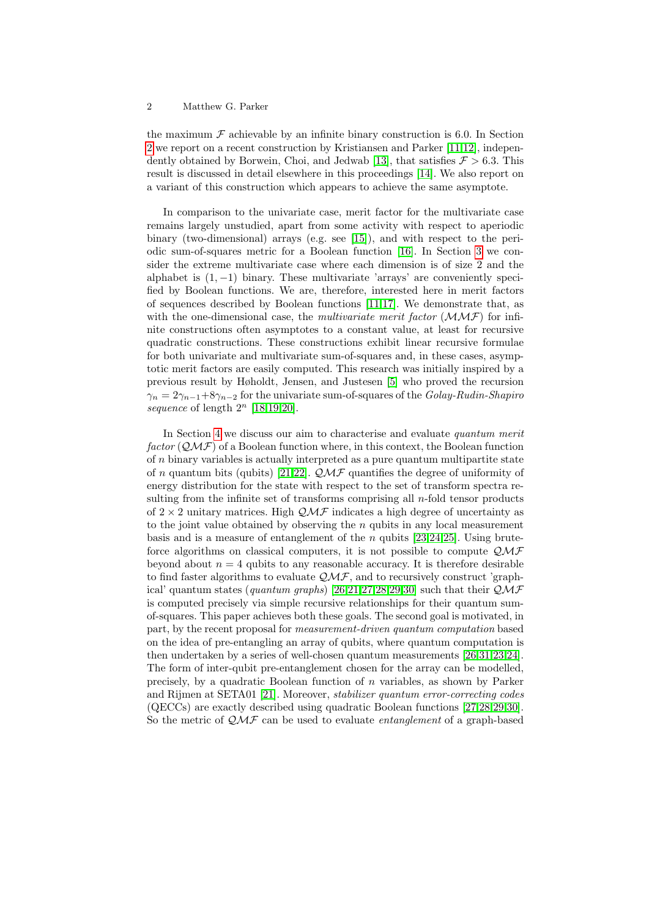the maximum  $\mathcal F$  achievable by an infinite binary construction is 6.0. In Section 2 we report on a recent construction by Kristiansen and Parker [11,12], independently obtained by Borwein, Choi, and Jedwab [13], that satisfies  $\mathcal{F} > 6.3$ . This result is discussed in d[eta](#page-28-9)il elsewhere in this proceedings [14]. We also report on a variant of this construction w[hich](#page-28-10) appears to [ac](#page-12-0)hieve the same asymptote.

In comparison to the univariate case, merit factor for the multivariate case remains largely unstudied, apart from some activity with respect to aperiodic binary (two-dimensional[\) ar](#page-28-11)[ray](#page-28-12)s (e.g. see [15]), and with respect to the periodic sum-of-squares metric for a Boolean function [16]. In Section 3 we consider the extreme multivariate case where each dimension is of size 2 and the alphabet is  $(1, -1)$  binary. These multivariate 'arrays' are conveniently specified by Boolean functions. We are, therefore, interested here in merit factors of sequences described by Boolean functions [11,17]. We demonstrate that, as with the one-dimensional cas[e,](#page-28-3) the *multivariate merit factor*  $(\mathcal{M}\mathcal{M}\mathcal{F})$  for infinite constructions often asymptotes to a constant value, at least for recursive [qua](#page-28-13)[dra](#page-28-14)[tic](#page-28-15) constructions. These constructions exhibit linear recursive formulae for both univariate and multivariate sum-of-squares and, in these cases, asymptotic merit factors are easily computed. This research was initially inspired by a previous result by Høholdt, Jensen, and Justesen [5] who proved the recursion  $\gamma_n = 2\gamma_{n-1} + 8\gamma_{n-2}$  for the univariate sum-of-squares of the Golay-Rudin-Shapiro sequen[ce](#page-28-16) [of l](#page-28-17)ength  $2^n$  [18,19,20].

In Section 4 we discuss our aim to characterise and evaluate quantum merit  $factor(QMF)$  of a Boolean function where, in this context, the Boolean function of  $n$  binary variables is actually interpreted as a pure quantum multipartite state of n [qu](#page-29-1)antum bits (qubits) [21,22].  $\mathcal{QMF}$  $\mathcal{QMF}$  $\mathcal{QMF}$  $\mathcal{QMF}$  quantifies the degree of uniformity of energy distribution for the state with respect to the set of transform spectra resulting from the infinite set of transforms comprising all  $n$ -fold tensor products of  $2 \times 2$  unitary matrices. High  $\mathcal{QMF}$  indicates a high degree of uncertainty as to the joint value [ob](#page-29-5)[tain](#page-28-16)[ed](#page-29-3) [by](#page-29-4) ob[ser](#page-29-6)ving the  $n$  qubits in any local measurement basis and is a measure of entanglement of the  $n$  qubits [23,24,25]. Using bruteforce algorithms on classical computers, it is not possible to compute  $\mathcal{QMF}$ beyond about  $n = 4$  qubits to any reasonable accuracy. It is therefore desirable to find faster algorithms to evaluate  $\mathcal{QMF}$ , and to recursively construct 'graph-ical' quantum states (quantum graphs) [26,21,[27,](#page-29-2)[28,](#page-29-7)[29,](#page-28-18)[30\]](#page-29-0) such that their  $QMF$ is computed precisely via simple recursive relationships for their quantum sumof-squares. This paper achieves both these goals. The second goal is motivated, in pa[rt, b](#page-28-16)y the recent proposal for measurement-driven quantum computation based on the idea of pre-entangling an array of qubi[ts,](#page-29-3) [wh](#page-29-4)[ere](#page-29-5) [qu](#page-29-6)antum computation is then undertaken by a series of well-chosen quantum measurements [26,31,23,24]. The form of inter-qubit pre-entanglement chosen for the array can be modelled, precisely, by a quadratic Boolean function of n variables, as shown by Parker and Rijmen at SETA01 [21]. Moreover, stabilizer quantum error-correcting codes (QECCs) are exactly described using quadratic Boolean functions [27,28,29,30]. So the metric of  $QMF$  can be used to evaluate *entanglement* of a graph-based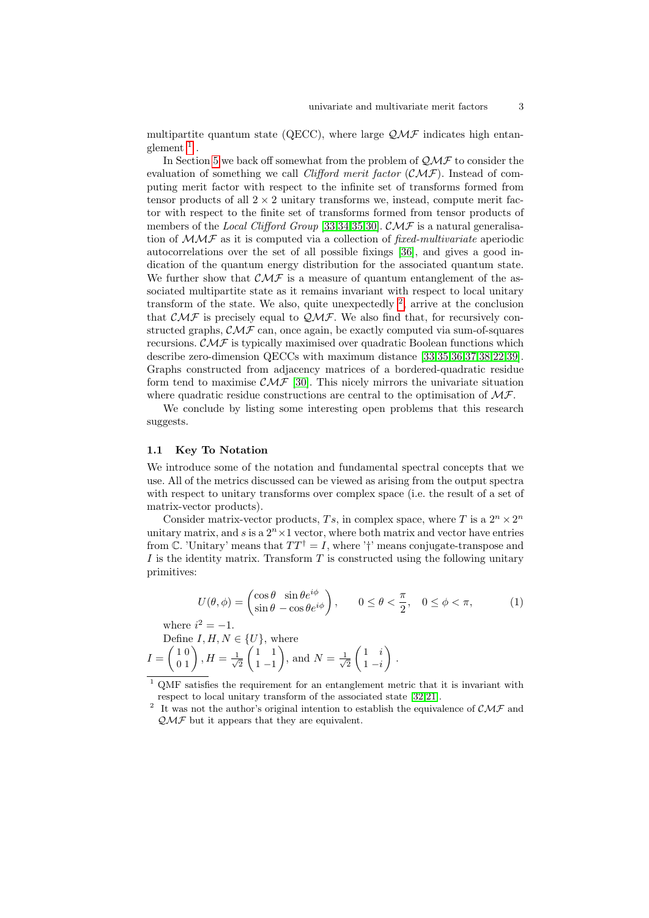multipartite quantum state (QECC), where large  $\mathcal{QMF}$  indicates high entanglement  $<sup>1</sup>$ .</sup>

In Section 5 [we](#page-29-8) [ba](#page-29-9)[ck o](#page-29-10)[ff s](#page-29-6)omewhat from the problem of  $\mathcal{QMF}$  to consider the evaluation of something we call *Clifford merit factor*  $(C\mathcal{MF})$ . Instead of computing merit factor with respec[t to](#page-29-11) the infinite set of transforms formed from tensor products of all  $2 \times 2$  unitary transforms we, instead, compute merit factor with respect to the finite set of transforms formed from tensor products of members of the Local Clifford Group [33,34,35,30].  $\mathcal{CMF}$  is a natural generalisation of  $\mathcal{M}\mathcal{M}\mathcal{F}$  as it is compute[d](#page-2-0) via a collection of fixed-multivariate aperiodic autocorrelations over the set of all possible fixings [36], and gives a good indication of the quantum energy distribution for the associated quantum state. We further show that  $\mathcal{CMF}$  is a measure of quantum entanglement of the associated multipartite state as it rem[ains](#page-29-8) [in](#page-29-10)[var](#page-29-11)[ian](#page-29-12)[t](#page-29-13) [wit](#page-28-17)[h re](#page-29-14)spect to local unitary transform [of](#page-29-6) the state. We also, quite unexpectedly  $^2$ , arrive at the conclusion that  $\mathcal{CMF}$  is precisely equal to  $\mathcal{QMF}$ . We also find that, for recursively constructed graphs,  $\mathcal{CMF}$  can, once again, be exactly computed via sum-of-squares recursions.  $\mathcal{CMF}$  is typically maximised over quadratic Boolean functions which describe zero-dimension QECCs with maximum distance [33,35,36,37,38,22,39]. Graphs constructed from adjacency matrices of a bordered-quadratic residue form tend to maximise  $\mathcal{CMF}$  [30]. This nicely mirrors the univariate situation where quadratic residue constructions are central to the optimisation of  $M\mathcal{F}$ .

We conclude by listing some interesting open problems that this research suggests.

### 1.1 Key To Notation

We introduce some of the notation and fundamental spectral concepts that we use. All of the metrics discussed can be viewed as arising from the output spectra with respect to unitary transforms over complex space (i.e. the result of a set of matrix-vector products).

Consider matrix-vector products, Ts, in complex space, where T is a  $2^n \times 2^n$ unitary matrix, and s is a  $2^{n} \times 1$  vector, where both matrix and vector have entries from  $\mathbb{C}$ . 'Unitary' means that  $TT^{\dagger} = I$ , where '†' means conjugate-transpose and I is the identity matrix. Transform  $T$  is constructed using the following unitary primitives:

$$
U(\theta,\phi) = \begin{pmatrix} \cos\theta & \sin\theta e^{i\phi} \\ \sin\theta & -\cos\theta e^{i\phi} \end{pmatrix}, \qquad 0 \le \theta < \frac{\pi}{2}, \quad 0 \le \phi < \pi,\tag{1}
$$

where  $i^2 = -1$ .

<span id="page-2-0"></span>Define 
$$
I, H, N \in \{U\}
$$
, where  
\n
$$
I = \begin{pmatrix} 1 & 0 \\ 0 & 1 \end{pmatrix}, H = \frac{1}{\sqrt{2}} \begin{pmatrix} 1 & 1 \\ 1 & -1 \end{pmatrix}, \text{ and } N = \frac{1}{\sqrt{2}} \begin{pmatrix} 1 & i \\ 1 & -i \end{pmatrix}.
$$

<sup>1</sup> QMF satisfies the requirement for an entanglement metric that it is invariant with respect to local unitary transform of the associated state [32,21].

<sup>&</sup>lt;sup>2</sup> It was not the author's original intention to establish the equivalence of  $\mathcal{CMF}$  and  $QMF$  but it appears that they are equivalent.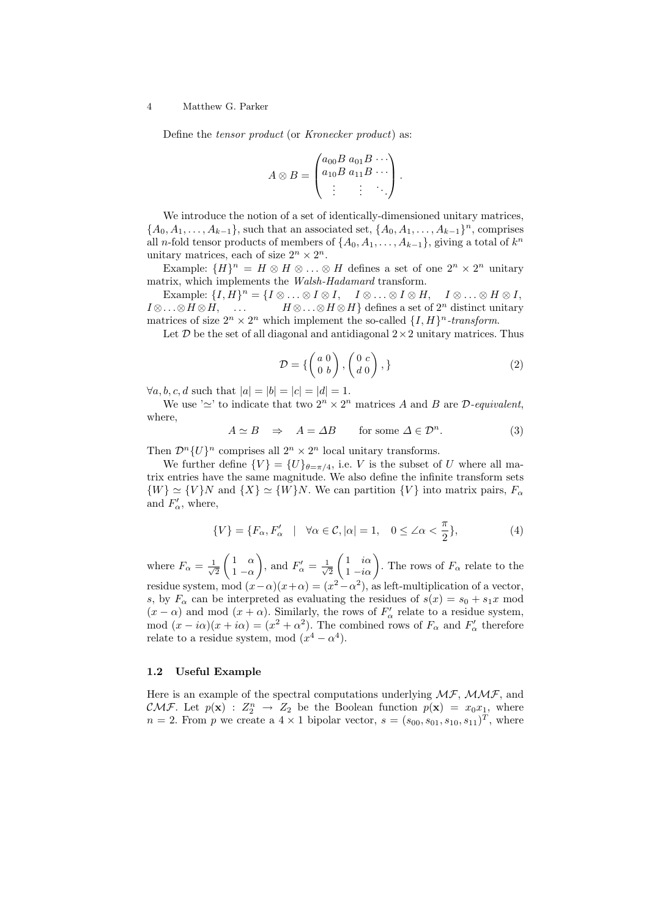Define the *tensor product* (or *Kronecker product*) as:

$$
A \otimes B = \begin{pmatrix} a_{00}B & a_{01}B & \cdots \\ a_{10}B & a_{11}B & \cdots \\ \vdots & \vdots & \ddots \end{pmatrix}.
$$

We introduce the notion of a set of identically-dimensioned unitary matrices,  ${A_0, A_1, \ldots, A_{k-1}}$ , such that an associated set,  ${A_0, A_1, \ldots, A_{k-1}}^n$ , comprises all *n*-fold tensor products of members of  $\{A_0, A_1, \ldots, A_{k-1}\}$ , giving a total of  $k^n$ unitary matrices, each of size  $2^n \times 2^n$ .

Example:  $\{H\}^n = H \otimes H \otimes \ldots \otimes H$  defines a set of one  $2^n \times 2^n$  unitary matrix, which implements the Walsh-Hadamard transform.

Example:  $\{I, H\}^n = \{I \otimes \ldots \otimes I \otimes I, \quad I \otimes \ldots \otimes I \otimes H, \quad I \otimes \ldots \otimes H \otimes I, \quad I \otimes \ldots \otimes I \otimes I \otimes I\}$  $I \otimes \ldots \otimes H \otimes H$ , ...  $H \otimes \ldots \otimes H \otimes H$  defines a set of  $2^n$  distinct unitary matrices of size  $2^n \times 2^n$  which implement the so-called  $\{I, H\}^n$ -transform.

Let  $D$  be the set of all diagonal and antidiagonal  $2 \times 2$  unitary matrices. Thus

$$
\mathcal{D} = \left\{ \begin{pmatrix} a & 0 \\ 0 & b \end{pmatrix}, \begin{pmatrix} 0 & c \\ d & 0 \end{pmatrix}, \right\} \tag{2}
$$

 $\forall a, b, c, d \text{ such that } |a| = |b| = |c| = |d| = 1.$ 

<span id="page-3-0"></span>We use ' $\simeq$ ' to indicate that two  $2^n \times 2^n$  matrices A and B are D-equivalent, where,

> $A \simeq B \Rightarrow A = \Delta B$  for some  $\Delta \in \mathcal{D}^n$ . . (3)

Then  $\mathcal{D}^n \{U\}^n$  comprises all  $2^n \times 2^n$  local unitary transforms.

We further define  ${V} = {U}_{\theta=\pi/4}$ , i.e. V is the subset of U where all matrix entries have the same magnitude. We also define the infinite transform sets  $\{W\} \simeq \{V\}N$  and  $\{X\} \simeq \{W\}N$ . We can partition  $\{V\}$  into matrix pairs,  $F_{\alpha}$ and  $F'_{\alpha}$ , where,

$$
\{V\} = \{F_{\alpha}, F'_{\alpha} \mid \forall \alpha \in \mathcal{C}, |\alpha| = 1, 0 \le \angle \alpha < \frac{\pi}{2}\},\tag{4}
$$

where  $F_{\alpha} = \frac{1}{\sqrt{2}}$ 2  $\begin{pmatrix} 1 & \alpha \end{pmatrix}$  $1 - \alpha$ ), and  $F'_{\alpha} = \frac{1}{\sqrt{2}}$ 2  $\begin{pmatrix} 1 & i\alpha \\ 1-i\alpha \end{pmatrix}$ . The rows of  $F_{\alpha}$  relate to the residue system, mod  $(x-\alpha)(x+\alpha) = (x^2-\alpha^2)$ , as left-multiplication of a vector, s, by  $F_{\alpha}$  can be interpreted as evaluating the residues of  $s(x) = s_0 + s_1x \mod$  $(x - \alpha)$  and mod  $(x + \alpha)$ . Similarly, the rows of  $F'_{\alpha}$  relate to a residue system, mod  $(x - i\alpha)(x + i\alpha) = (x^2 + \alpha^2)$ . The combined rows of  $F_\alpha$  and  $F'_\alpha$  therefore relate to a residue system, mod  $(x^4 - \alpha^4)$ .

#### 1.2 Useful Example

Here is an example of the spectral computations underlying  $MF$ ,  $MMF$ , and CMF. Let  $p(\mathbf{x}) : Z_2^n \to Z_2$  be the Boolean function  $p(\mathbf{x}) = x_0 x_1$ , where  $n = 2$ . From p we create a  $4 \times 1$  bipolar vector,  $s = (s_{00}, s_{01}, s_{10}, s_{11})^T$ , where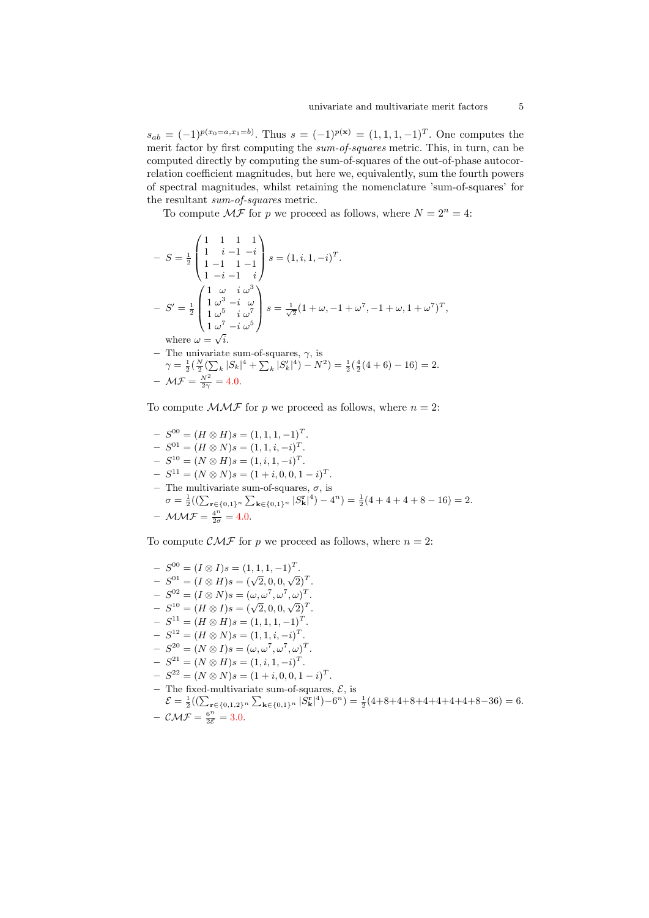$s_{ab} = (-1)^{p(x_0 = a, x_1 = b)}$ . Thus  $s = (-1)^{p(x)} = (1, 1, 1, -1)^T$ . One computes the merit factor by first computing the sum-of-squares metric. This, in turn, can be computed directly by computing the sum-of-squares of the out-of-phase autocorrelation coefficient magnitudes, but here we, equivalently, sum the fourth powers of spectral magnitudes, whilst retaining the nomenclature 'sum-of-squares' for the resultant sum-of-squares metric.

To compute  $\mathcal{MF}$  for p we proceed as follows, where  $N = 2^n = 4$ :

$$
- S = \frac{1}{2} \begin{pmatrix} 1 & 1 & 1 & 1 \\ 1 & i & -1 & -i \\ 1 & -1 & 1 & -1 \\ 1 & -i & -1 & i \end{pmatrix} s = (1, i, 1, -i)^T.
$$
  

$$
- S' = \frac{1}{2} \begin{pmatrix} 1 & \omega & i & \omega^3 \\ 1 & \omega^5 & -i & \omega^7 \\ 1 & \omega^5 & i & \omega^7 \\ 1 & \omega^7 & -i & \omega^5 \end{pmatrix} s = \frac{1}{\sqrt{2}} (1 + \omega, -1 + \omega^7, -1 + \omega, 1 + \omega^7)^T,
$$
  
where  $\omega = \sqrt{i}.$ 

– The univariate sum-of-squares,  $\gamma,$  is  $\gamma = \frac{1}{2}(\frac{N}{2}(\sum_{k} |S_{k}|^{4} + \sum_{k} |S'_{k}|^{4}) - N^{2}) = \frac{1}{2}(\frac{4}{2}(4+6) - 16) = 2.$  $- \mathcal{MF} = \frac{N^2}{2\gamma} = 4.0.$ 

To compute  $\mathcal{MMF}$  for p we proceed as follows, where  $n = 2$ :

$$
- S^{00} = (H \otimes H)s = (1, 1, 1, -1)^{T}.
$$
  
\n
$$
- S^{01} = (H \otimes N)s = (1, 1, i, -i)^{T}.
$$
  
\n
$$
- S^{10} = (N \otimes H)s = (1, i, 1, -i)^{T}.
$$
  
\n
$$
- S^{11} = (N \otimes N)s = (1 + i, 0, 0, 1 - i)^{T}.
$$
  
\n
$$
- \text{ The multivariate sum-of-squares, } \sigma, \text{ is}
$$
  
\n
$$
\sigma = \frac{1}{2}((\sum_{\mathbf{r} \in \{0, 1\}^{n}} \sum_{\mathbf{k} \in \{0, 1\}^{n}} |S_{\mathbf{k}}^{\mathbf{r}}|^{4}) - 4^{n}) = \frac{1}{2}(4 + 4 + 4 + 8 - 16) = 2.
$$
  
\n
$$
- M M \mathcal{F} = \frac{4^{n}}{2\sigma} = 4.0.
$$

To compute  $\mathcal{CMF}$  for p we proceed as follows, where  $n = 2$ :

$$
S^{00} = (I \otimes I)s = (1, 1, 1, -1)^{T}.
$$
  
\n
$$
S^{01} = (I \otimes H)s = (\sqrt{2}, 0, 0, \sqrt{2})^{T}.
$$
  
\n
$$
S^{02} = (I \otimes N)s = (\omega, \omega^{7}, \omega^{7}, \omega)^{T}.
$$
  
\n
$$
S^{10} = (H \otimes I)s = (\sqrt{2}, 0, 0, \sqrt{2})^{T}.
$$
  
\n
$$
S^{11} = (H \otimes H)s = (1, 1, 1, -1)^{T}.
$$
  
\n
$$
S^{20} = (N \otimes I)s = (\omega, \omega^{7}, \omega^{7}, \omega)^{T}.
$$
  
\n
$$
S^{21} = (N \otimes H)s = (1, i, 1, -i)^{T}.
$$
  
\n
$$
S^{22} = (N \otimes N)s = (1 + i, 0, 0, 1 - i)^{T}.
$$
  
\n
$$
S^{22} = (N \otimes N)s = (1 + i, 0, 0, 1 - i)^{T}.
$$
  
\n
$$
S^{22} = \frac{1}{2}((\sum_{r \in \{0, 1, 2\}^n} \sum_{k \in \{0, 1\}^n} |S_k^{r}|^4) - 6^n) = \frac{1}{2}(4 + 8 + 4 + 4 + 4 + 4 + 4 + 8 - 36) = 6.
$$
  
\n
$$
C\mathcal{MF} = \frac{6^n}{2\epsilon} = 3.0.
$$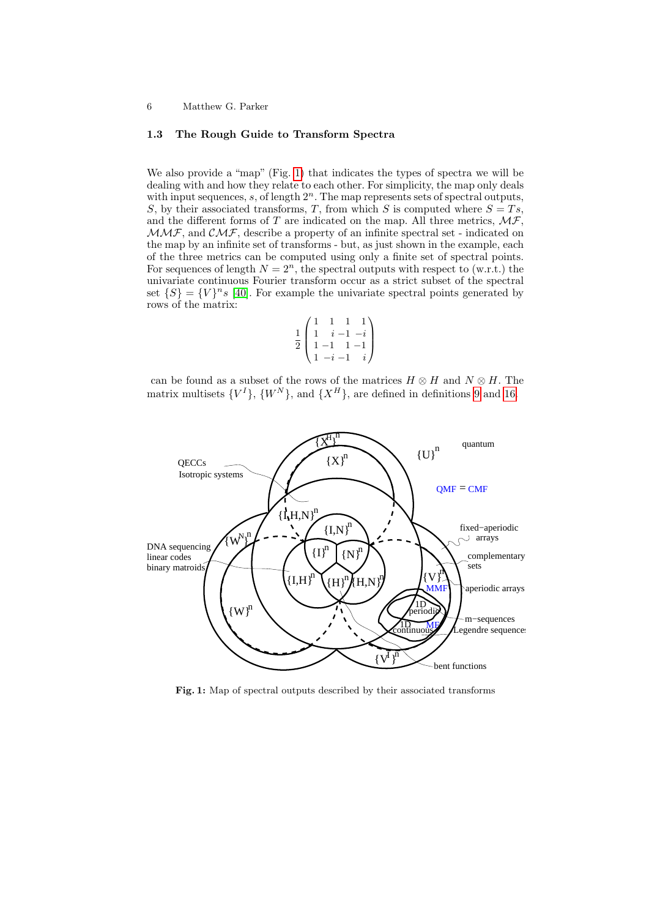#### 1.3 The Rough Guide to Transform Spectra

We also provide a "map" (Fig. 1) that indicates the types of spectra we will be dealing with and how they relate to each other. For simplicity, the map only deals with input sequences,  $s$ , of length  $2<sup>n</sup>$ . The map represents sets of spectral outputs, S, by their associated transforms, T, from which S is computed where  $S = Ts$ , [a](#page-29-15)nd the different forms of  $T$  are indicated on the map. All three metrics,  $\mathcal{MF},$  $MMF$ , and  $CMF$ , describe a property of an infinite spectral set - indicated on the map by an infinite set of transforms - but, as just shown in the example, each of the three metrics can be computed using only a finite set of spectral points. For sequences of length  $N = 2<sup>n</sup>$ , the spectral outputs with respect to (w.r.t.) the univariate continuous Fourier transform occur as a strict subset of the spectral set  $\{S\} = \{V\}^n s$  [40]. For example the univariate spectral points generated by rows of the matrix:

$$
\frac{1}{2} \begin{pmatrix} 1 & 1 & 1 & 1 \\ 1 & i & -1 & -i \\ 1 & -1 & 1 & -1 \\ 1 & -i & -1 & i \end{pmatrix}
$$

can be found as a subset of the rows of the matrices  $H \otimes H$  and  $N \otimes H$ . The matrix multisets  $\{V^I\}$ ,  $\{W^N\}$ , and  $\{X^H\}$ , are defined in definitions 9 and 16.



<span id="page-5-0"></span>Fig. 1: Map of spectral outputs described by their associated transforms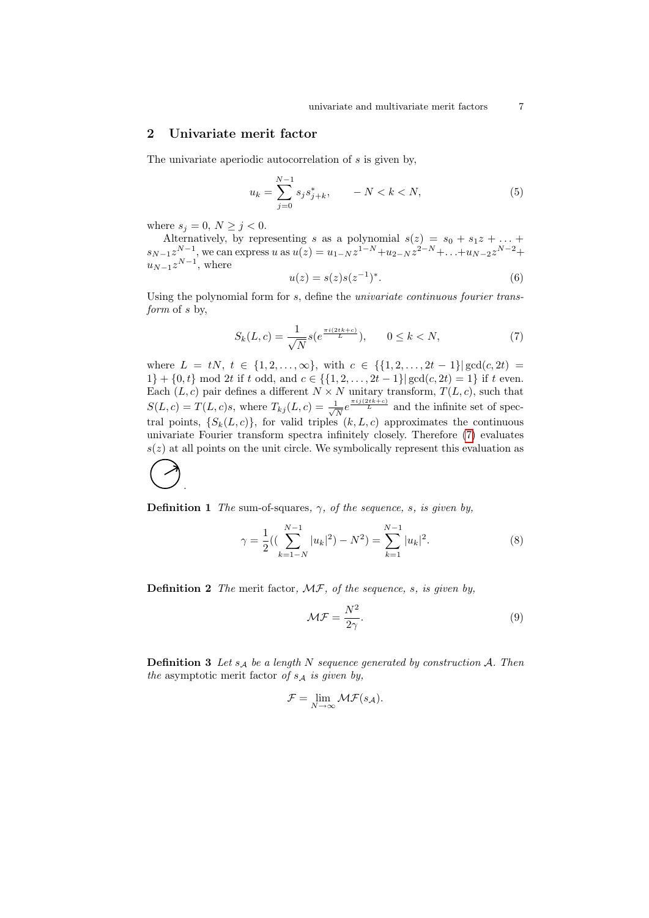# <span id="page-6-3"></span>2 Univariate merit factor

<span id="page-6-1"></span>The univariate aperiodic autocorrelation of  $s$  is given by,

$$
u_k = \sum_{j=0}^{N-1} s_j s_{j+k}^*, \qquad -N < k < N,\tag{5}
$$

where  $s_j = 0, N \geq j < 0$ .

<span id="page-6-0"></span>Alternatively, by representing s as a polynomial  $s(z) = s_0 + s_1 z + \ldots$  $s_{N-1}z^{N-1}$ , we can express u as  $u(z) = u_{1-N}z^{1-N} + u_{2-N}z^{2-N} + \ldots + u_{N-2}z^{N-2} +$  $u_{N-1}z^{N-1}$ , where  $u(z) = e(z)e(z^{-1})^*$ 

$$
u(z) = s(z)s(z^{-1})^*.
$$
 (6)

Using the polynomial form for s, define the *univariate continuous fourier trans*form of s by,

$$
S_k(L, c) = \frac{1}{\sqrt{N}} s(e^{\frac{\pi i (2tk + c)}{L}}), \qquad 0 \le k < N,\tag{7}
$$

where  $L = tN$ ,  $t \in \{1, 2, ..., \infty\}$ , with  $c \in \{\{1, 2, ..., 2t - 1\} | \gcd(c, 2t) =$ 1} + {0, t} mod 2t if t odd, and  $c \in \{\{1, 2, ..., 2t - 1\} | \gcd(c, 2t) = 1\}$  if t even. Each  $(L, c)$  pair defines a different  $N \times N$  unitary transform,  $T(L, c)$ , such that  $S(L, c) = T(L, c)s$ , where  $T_{kj}(L, c) = \frac{1}{\sqrt{2}}$  $\frac{1}{N}e^{\frac{\pi ij(2tk+c)}{L}}$  and the infinite set of spectral points,  $\{S_k(L, c)\}\$ , for valid triples  $(k, L, c)$  approximates the continuous univariate Fourier transform spectra infinitely closely. Therefore (7) evaluates  $s(z)$  at all points on the unit circle. We symbolically represent this evaluation as



.

**Definition 1** The sum-of-squares,  $\gamma$ , of the sequence, s, is given by,

$$
\gamma = \frac{1}{2} \left( \left( \sum_{k=1-N}^{N-1} |u_k|^2 \right) - N^2 \right) = \sum_{k=1}^{N-1} |u_k|^2.
$$
 (8)

**Definition 2** The merit factor,  $\mathcal{MF}$ , of the sequence, s, is given by,

<span id="page-6-2"></span>
$$
\mathcal{MF} = \frac{N^2}{2\gamma}.\tag{9}
$$

**Definition 3** Let  $s_A$  be a length N sequence generated by construction A. Then the asymptotic merit factor of  $s_A$  is given by,

$$
\mathcal{F} = \lim_{N \to \infty} \mathcal{MF}(s_{\mathcal{A}}).
$$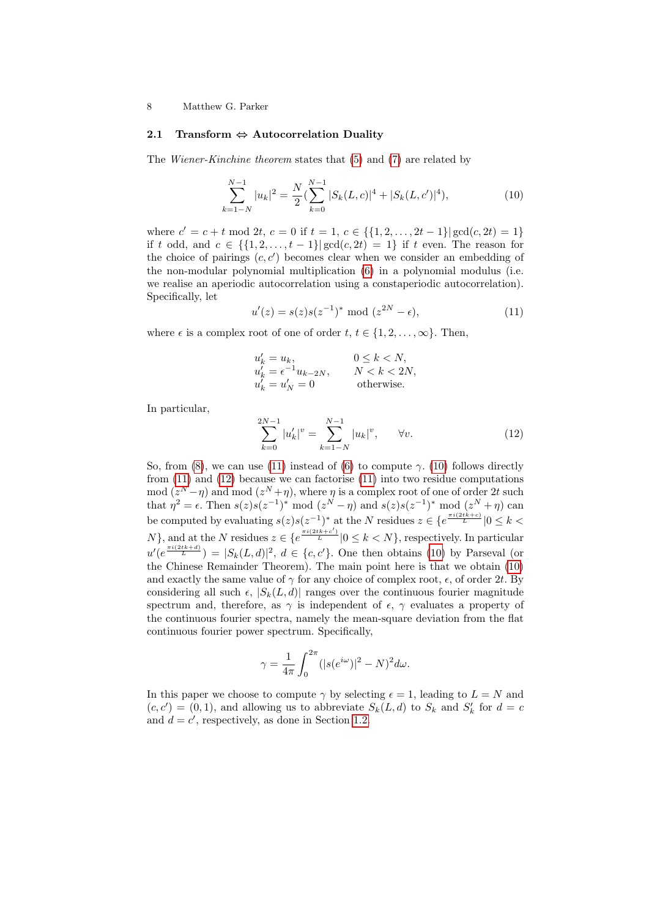#### 2.1 Transform ⇔ Autocorrelation Duality

The Wiener-Kinchine theorem states that (5) and (7) are related by

<span id="page-7-0"></span>
$$
\sum_{k=1-N}^{N-1} |u_k|^2 = \frac{N}{2} \left( \sum_{k=0}^{N-1} |S_k(L,c)|^4 + |S_k(L,c')|^4 \right),\tag{10}
$$

where  $c' = c + t \mod 2t$ ,  $c = 0$  if  $t = 1$ ,  $c \in \{\{1, 2, ..., 2t - 1\} | \gcd(c, 2t) = 1\}$ if t odd, and  $c \in \{ \{1, 2, \ldots, t-1\} | \gcd(c, 2t) = 1 \}$  if t even. The reason for the choice of pairings  $(c, c')$  becomes clear when we consider an embedding of the non-modular polynomial multiplication (6) in a polynomial modulus (i.e. we realise an aperiodic autocorrelation using a constaperiodic autocorrelation). Specifically, let

$$
u'(z) = s(z)s(z^{-1})^* \text{ mod } (z^{2N} - \epsilon), \tag{11}
$$

where  $\epsilon$  is a complex root of one of order  $t, t \in \{1, 2, \ldots, \infty\}$ . Then,

$$
\begin{array}{ll} u'_k=u_k, & 0\leq k
$$

In particular,

$$
\sum_{k=0}^{2N-1} |u'_k|^v = \sum_{k=1-N}^{N-1} |u_k|^v, \qquad \forall v.
$$
 (12)

So, from (8), we can use (11) instead of (6) to compute  $\gamma$ . (10) follows directly from (11) and (12) because we can fac[tor](#page-7-0)ise (11) into two residue computations mod  $(z^N - \eta)$  and mod  $(z^N + \eta)$ , where  $\eta$  is a complex r[oot](#page-7-0) of one of order 2t such that  $\eta^2 = \epsilon$ . Then  $s(z)s(z^{-1})^* \mod (z^N - \eta)$  and  $s(z)s(z^{-1})^* \mod (z^N + \eta)$  can be computed by evaluating  $s(z)s(z^{-1})^*$  at the N residues  $z \in \{e^{\frac{\pi i(2tk+c)}{L}}|0 \leq k$ N, and at the N residues  $z \in \{e^{\frac{\pi i (2tk+c')}{L}} | 0 \le k \le N\}$ , respectively. In particular  $u'(e^{\frac{\pi i(2tk+d)}{L}}) = |S_k(L, d)|^2$ ,  $d \in \{c, c'\}$ . One then obtains (10) by Parseval (or the Chinese Remainder Theorem). The main point here is that we obtain (10) and exactly the same value of  $\gamma$  for any choice of complex root,  $\epsilon$ , of order 2t. By considering all such  $\epsilon$ ,  $|S_k(L, d)|$  ranges over the continuous fourier magnitude spectrum and, therefore, as  $\gamma$  is independent of  $\epsilon$ ,  $\gamma$  evaluates a property of the continuous fourier spectra, namely the mean-square deviation from the flat continuous fourier power spectrum. Specifically,

$$
\gamma = \frac{1}{4\pi} \int_0^{2\pi} (|s(e^{i\omega})|^2 - N)^2 d\omega.
$$

In this paper we choose to compute  $\gamma$  by selecting  $\epsilon = 1$ , leading to  $L = N$  and  $(c, c') = (0, 1)$ , and allowing us to abbreviate  $S_k(L, d)$  to  $S_k$  and  $S'_k$  for  $d = c$ and  $d = c'$ , respectively, as done in Section 1.2.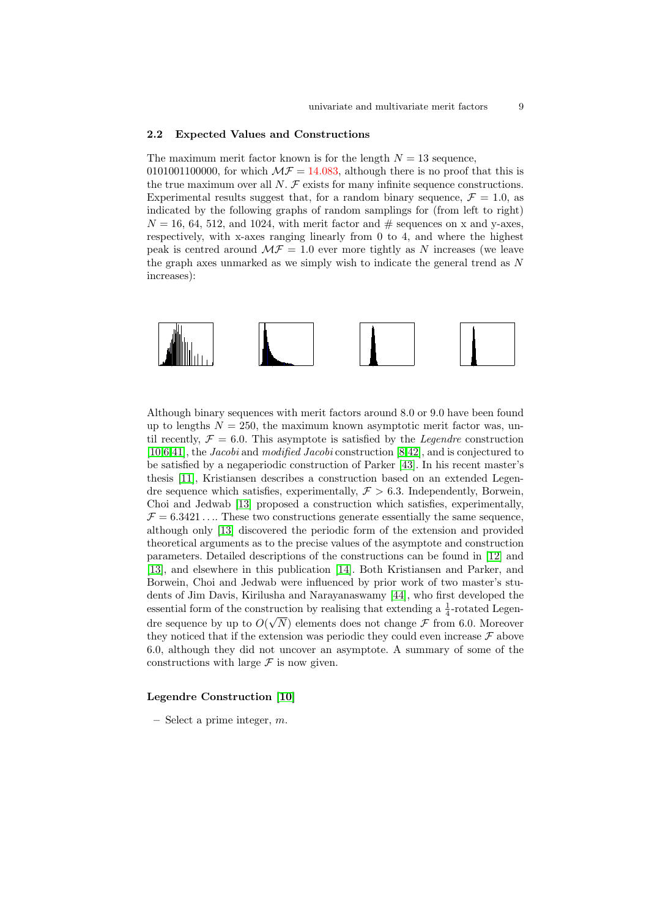#### 2.2 Expected Values and Constructions

The maximum merit factor known is for the length  $N = 13$  sequence, 0101001100000, for which  $\mathcal{MF} = 14.083$ , although there is no proof that this is the true maximum over all  $N$ .  $\mathcal F$  exists for many infinite sequence constructions. Experimental results suggest that, for a random binary sequence,  $\mathcal{F} = 1.0$ , as indicated by the following graphs of random samplings for (from left to right)  $N = 16, 64, 512,$  and 1024, with merit factor and  $\#$  sequences on x and y-axes, respectively, with x-axes ranging linearly from 0 to 4, and where the highest peak is centred around  $\mathcal{MF} = 1.0$  ever more tightly as N increases (we leave the graph axes unmarked as we simply wish to indicate the general trend as  $N$ increases):



Although binary sequences with merit factors around 8.0 or 9.0 have been found up to lengths  $N = 250$ , the maximum known asymptotic merit factor was, un[t](#page-28-19)il recently,  $\mathcal{F} = 6.0$ . This asymptote is satisfied by the *Legendre* construction [10,6,41], the Jacobi and modified Jacobi construction [8,42], and is conjectured to be satisfied by a negaperiodic construction of Parker [43]. In his recent master's thesis [11], Kristiansen describes a construction based on an extended Legendre sequence which satisfies, experimentally,  $\mathcal{F} > 6.3$  $\mathcal{F} > 6.3$  $\mathcal{F} > 6.3$ . Independently, Borwein, Choi and Jedwab [\[13\]](#page-28-21) proposed a construction which satisfies, experimentally,  $\mathcal{F} = 6.3421...$  These two constructions generate essentially the same sequence, although only [13] discovered [the](#page-30-0) periodic form of the extension and provided theoretical arguments as to the precise values of the asymptote and construction parameters. Detailed descriptions of the constructions can be found in [12] and [13], and elsewhere in this publication [14]. Both Kristiansen and Parker, and Borwein, Choi and Jedwab were influenced by prior work of two master's students of Jim Davis, Kirilusha and Narayanaswamy [44], who first developed the essential form of the construction by realising that extending a  $\frac{1}{4}$ -rotated Legendre se[quen](#page-28-8)ce by up to  $O(\sqrt{N})$  elements does not change  $\mathcal F$  from 6.0. Moreover they noticed that if the extension was periodic they could even increase  $\mathcal F$  above 6.0, although they did not uncover an asymptote. A summary of some of the constructions with large  $\mathcal F$  is now given.

#### Legendre Construction [10]

 $-$  Select a prime integer,  $m$ .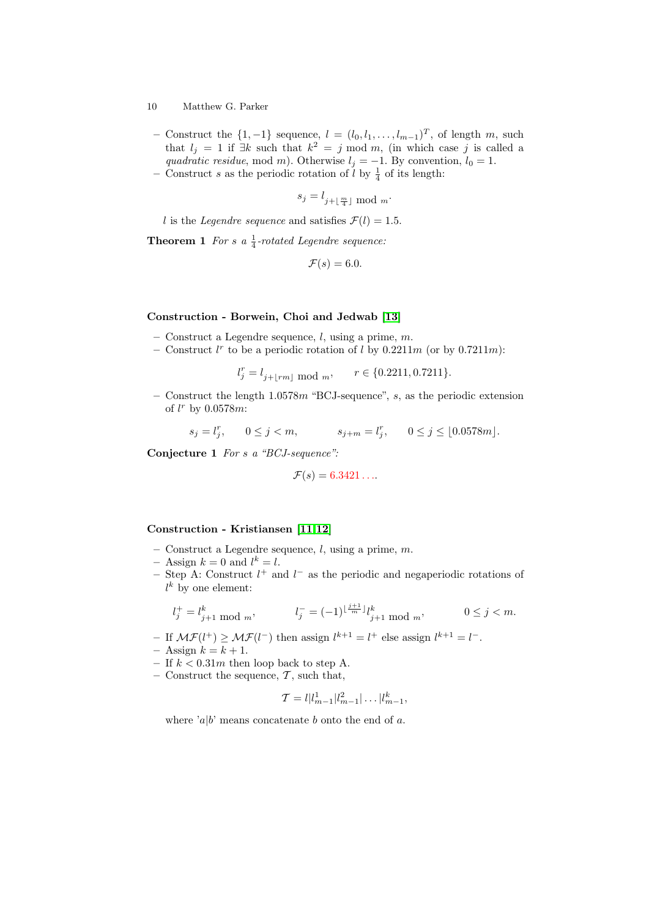- Construct the  $\{1, -1\}$  sequence,  $l = (l_0, l_1, \ldots, l_{m-1})^T$ , of length m, such that  $l_j = 1$  if  $\exists k$  such that  $k^2 = j \mod m$ , (in which case j is called a quadratic residue, mod m). Otherwise  $l_i = -1$ . By convention,  $l_0 = 1$ .
- Construct s as the periodic rotation of  $\ell$  by  $\frac{1}{4}$  of its length:

$$
s_j = l_{j + \lfloor \frac{m}{4} \rfloor} \bmod m
$$

l is the Legendre sequence and satisfies  $\mathcal{F}(l) = 1.5$ .

**Theorem 1** For s a  $\frac{1}{4}$ -rotat[ed L](#page-28-19)egendre sequence:

$$
\mathcal{F}(s) = 6.0.
$$

### Construction - Borwein, Choi and Jedwab [13]

- Construct a Legendre sequence,  $l$ , using a prime,  $m$ .
- Construct  $l^r$  to be a periodic rotation of l by  $0.2211m$  (or by  $0.7211m$ ):

$$
l_j^r = l_{j + \lfloor rm \rfloor} \bmod m, \qquad r \in \{0.2211, 0.7211\}.
$$

– Construct the length  $1.0578m$  "BCJ-sequence", s, as the periodic extension of  $l^r$  by 0.0578m:

$$
s_j=l_j^r,\qquad 0\leq j
$$

Conjectu[re 1](#page-28-11) [Fo](#page-28-20)r s a "BCJ-sequence":

$$
\mathcal{F}(s) = 6.3421\dots
$$

# Construction - Kristiansen [11,12]

- Construct a Legendre sequence,  $l$ , using a prime,  $m$ .
- $-$  Assign  $k = 0$  and  $l^k = l$ .
- $-$  Step A: Construct  $l^+$  and  $l^-$  as the periodic and negaperiodic rotations of  $l^k$  by one element:

$$
l_j^+=l_{j+1\!\!\!\!\!\!\!\!\mod m}^k,\qquad \qquad l_j^- = (-1)^{\lfloor \frac{j+1}{m} \rfloor}l_{j+1\!\!\!\!\!\mod m}^k,\qquad \qquad 0\leq j < m.
$$

- If  $M\mathcal{F}(l^+) \geq M\mathcal{F}(l^-)$  then assign  $l^{k+1} = l^+$  else assign  $l^{k+1} = l^-$ .
- Assign  $k = k + 1$ .
- If  $k < 0.31m$  then loop back to step A.
- Construct the sequence,  $\mathcal{T}$ , such that,

$$
\mathcal{T} = l|l_{m-1}^1|l_{m-1}^2|\dots|l_{m-1}^k,
$$

where  $a|b$  means concatenate b onto the end of a.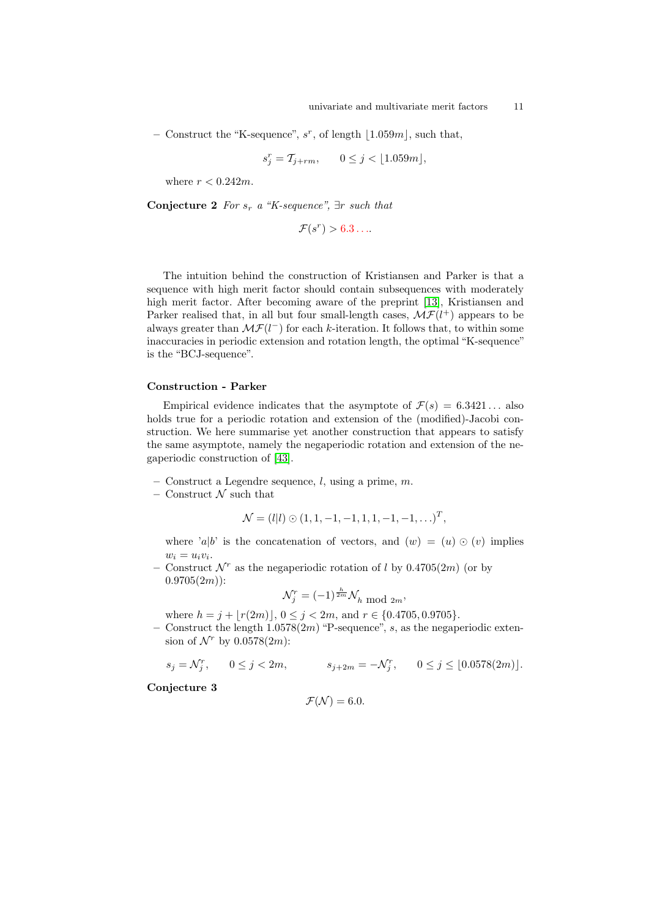- Construct the "K-sequence",  $s^r$ , of length  $\lfloor 1.059m \rfloor$ , such that,

$$
s_j^r = \mathcal{T}_{j+rm}, \qquad 0 \le j < \lfloor 1.059m \rfloor,
$$

where  $r < 0.242m$ .

Conjecture 2 For  $s_r$  a "K-sequence",  $\exists r$  such that

 $\mathcal{F}(s^r) > 6.3 \ldots$  $\mathcal{F}(s^r) > 6.3 \ldots$  $\mathcal{F}(s^r) > 6.3 \ldots$ 

The intuition behind the construction of Kristiansen and Parker is that a sequence with high merit factor should contain subsequences with moderately high merit factor. After becoming aware of the preprint [13], Kristiansen and Parker realised that, in all but four small-length cases,  $\mathcal{MF}(l^+)$  appears to be always greater than  $\mathcal{MF}(l^-)$  for each k-iteration. It follows that, to within some inaccuracies in periodic extension and rotation length, the optimal "K-sequence" is the "BCJ-sequence".

### Cons[tru](#page-29-16)ction - Parker

Empirical evidence indicates that the asymptote of  $\mathcal{F}(s) = 6.3421...$  also holds true for a periodic rotation and extension of the (modified)-Jacobi construction. We here summarise yet another construction that appears to satisfy the same asymptote, namely the negaperiodic rotation and extension of the negaperiodic construction of [43].

- Construct a Legendre sequence,  $l$ , using a prime,  $m$ .
- Construct $\mathcal N$  such that

$$
\mathcal{N} = (l|l) \odot (1, 1, -1, -1, 1, 1, -1, -1, \ldots)^T,
$$

where 'a|b' is the concatenation of vectors, and  $(w) = (u) \odot (v)$  implies  $w_i = u_i v_i.$ 

– Construct  $\mathcal{N}^r$  as the negaperiodic rotation of l by 0.4705(2m) (or by  $0.9705(2m)$ :

$$
\mathcal{N}_j^r = (-1)^{\frac{h}{2m}} \mathcal{N}_{h \text{ mod } 2m},
$$

where  $h = j + |r(2m)|$ ,  $0 \le j \le 2m$ , and  $r \in \{0.4705, 0.9705\}.$ 

– Construct the length  $1.0578(2m)$  "P-sequence", s, as the negaperiodic extension of  $\mathcal{N}^r$  by 0.0578(2m):

$$
s_j = \mathcal{N}_j^r
$$
,  $0 \le j < 2m$ ,  $s_{j+2m} = -\mathcal{N}_j^r$ ,  $0 \le j \le \lfloor 0.0578(2m) \rfloor$ .

Conjecture 3

$$
\mathcal{F}(\mathcal{N})=6.0.
$$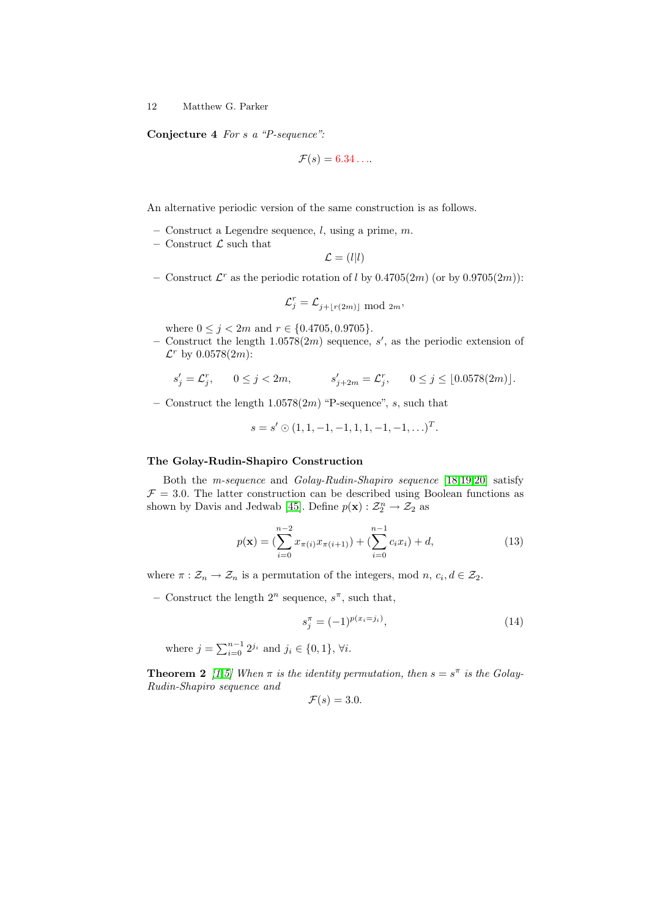Conjecture 4 For s a "P-sequence":

$$
\mathcal{F}(s) = 6.34\dots
$$

An alternative periodic version of the same construction is as follows.

- Construct a Legendre sequence,  $l$ , using a prime,  $m$ .
- Construct $\mathcal L$  such that
- $\mathcal{L} = (l|l)$
- Construct  $\mathcal{L}^r$  as the periodic rotation of l by 0.4705(2m) (or by 0.9705(2m)):

$$
\mathcal{L}_j^r = \mathcal{L}_{j+\lfloor r(2m)\rfloor \text{ mod } 2m},
$$

where  $0 \le j < 2m$  and  $r \in \{0.4705, 0.9705\}.$ 

- Construct the length  $1.0578(2m)$  sequence, s', as the periodic extension of  $\mathcal{L}^r$  by 0.0578(2m):

$$
s_j'=\mathcal{L}_j^r, \qquad 0\leq j<2m, \qquad \qquad s_{j+2m}'=\mathcal{L}_j^r, \qquad 0\leq j\leq \lfloor 0.0578(2m)\rfloor.
$$

– Construct the l[en](#page-28-14)gth  $1.0578(2m)$  "P-s[equ](#page-28-13)en[ce",](#page-28-15) s, such that

$$
s = s' \odot (1, 1, -1, -1, 1, 1, -1, -1, \ldots)^T.
$$

## The Golay-Rudin-Shapiro Construction

Both the m-sequence and Golay-Rudin-Shapiro sequence [18,19,20] satisfy  $\mathcal{F} = 3.0$ . The latter construction can be described using Boolean functions as shown by Davis and Jedwab [45]. Define  $p(\mathbf{x}) : \mathcal{Z}_2^n \to \mathcal{Z}_2$  as

$$
p(\mathbf{x}) = \left(\sum_{i=0}^{n-2} x_{\pi(i)} x_{\pi(i+1)}\right) + \left(\sum_{i=0}^{n-1} c_i x_i\right) + d,\tag{13}
$$

<span id="page-11-0"></span>where  $\pi : \mathcal{Z}_n \to \mathcal{Z}_n$  is a permutation of the integers, mod  $n, c_i, d \in \mathcal{Z}_2$ .

- Construct the length  $2^n$  sequence,  $s^{\pi}$ , such that,

$$
s_j^{\pi} = (-1)^{p(x_i = j_i)}, \tag{14}
$$

where  $j = \sum_{i=0}^{n-1} 2^{j_i}$  and  $j_i \in \{0, 1\}$ ,  $\forall i$ .

**Theorem 2** [1,5] When  $\pi$  is the identity permutation, then  $s = s^{\pi}$  is the Golay-Rudin-Shapiro sequence and

$$
\mathcal{F}(s) = 3.0.
$$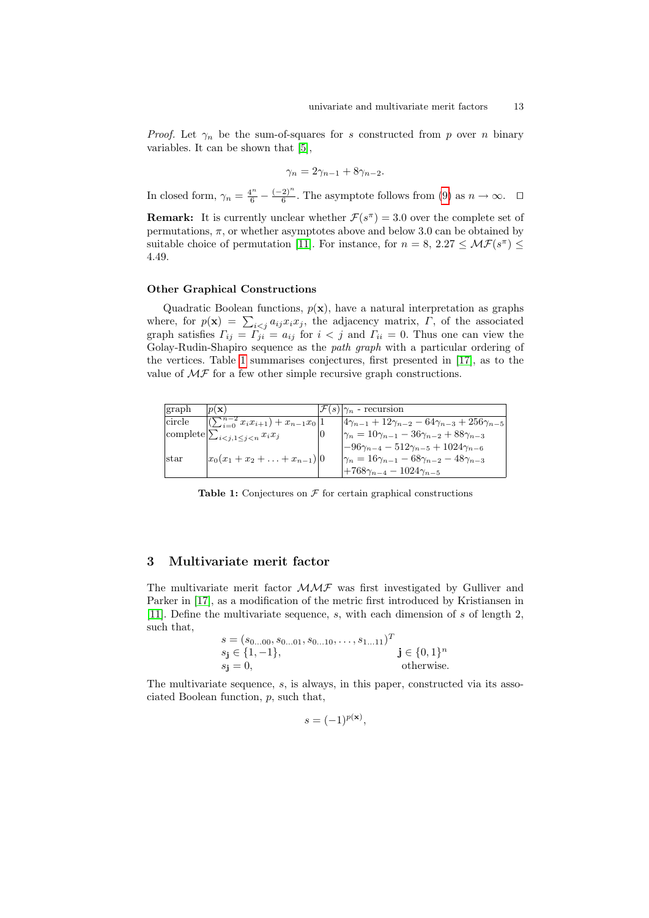*P[r](#page-6-2)oof.* Let  $\gamma_n$  be the sum-of-squares for s constructed from p over n binary variables. It can be shown that [5],

$$
\gamma_n = 2\gamma_{n-1} + 8\gamma_{n-2}.
$$

In closed form,  $\gamma_n = \frac{4^n}{6} - \frac{(-2)^n}{6}$  $\frac{2}{6}$ . The asymptote follows from (9) as  $n \to \infty$ .  $\Box$ 

**Remark:** It is currently unclear whether  $\mathcal{F}(s^{\pi}) = 3.0$  over the complete set of permutations,  $\pi$ , or whether asymptotes above and below 3.0 can be obtained by suitable choice of permutation [11]. For instance, for  $n = 8, 2.27 \leq \mathcal{MF}(s^{\pi}) \leq$ 4.49.

#### [O](#page-12-1)ther Graphical Constructions

Quadratic Boolean functions,  $p(x)$ , have a natural interpretation as graphs where, for  $p(\mathbf{x}) = \sum_{i < j} a_{ij} x_i x_j$ , the adjacency matrix,  $\Gamma$ , of the associated graph satisfies  $\Gamma_{ij} = \Gamma_{ji} = a_{ij}$  for  $i < j$  and  $\Gamma_{ii} = 0$ . Thus one can view the Golay-Rudin-Shapiro sequence as the path graph with a particular ordering of the vertices. Table 1 summarises conjectures, first presented in [17], as to the value of  $M\mathcal{F}$  for a few other simple recursive graph constructions.

<span id="page-12-1"></span>

| graph           | $p(\mathbf{x})$                                                              |    | $ \mathcal{F}(s) \gamma_n$ - recursion                          |
|-----------------|------------------------------------------------------------------------------|----|-----------------------------------------------------------------|
| circle          | $\left  \left( \sum_{i=0}^{n-2} x_i x_{i+1} \right) + x_{n-1} x_0 \right  1$ |    | $ 4\gamma_{n-1}+12\gamma_{n-2}-64\gamma_{n-3}+256\gamma_{n-5} $ |
|                 | $ \text{complete} \sum_{i\leq j,1\leq j\leq n}x_ix_j $                       | 10 | $ \gamma_n = 10\gamma_{n-1} - 36\gamma_{n-2} + 88\gamma_{n-3} $ |
|                 |                                                                              |    | $[-96\gamma_{n-4}-512\gamma_{n-5}+1024\gamma_{n-6}]$            |
| $_{\rm 1 star}$ | $ x_0(x_1+x_2+\ldots+x_{n-1}) 0$                                             |    | $ \gamma_n = 16\gamma_{n-1} - 68\gamma_{n-2} - 48\gamma_{n-3} $ |
|                 |                                                                              |    | $+768\gamma_{n-4} - 1024\gamma_{n-5}$                           |

**Table 1:** Conjectures on  $\mathcal F$  for certain graphical constructions

### <span id="page-12-0"></span>3 Multivariate merit factor

The multivariate merit factor  $MMF$  was first investigated by Gulliver and Parker in [17], as a modification of the metric first introduced by Kristiansen in [11]. Define the multivariate sequence, s, with each dimension of s of length 2, such that,

$$
s = (s_{0...00}, s_{0...01}, s_{0...10}, \dots, s_{1...11})^T
$$
  
\n
$$
s_{\mathbf{j}} \in \{1, -1\}, \qquad \qquad \mathbf{j} \in \{0, 1\}^n
$$
  
\n
$$
s_{\mathbf{j}} = 0, \qquad \qquad \text{otherwise.}
$$

The multivariate sequence, s, is always, in this paper, constructed via its associated Boolean function, p, such that,

$$
s = (-1)^{p(\mathbf{x})},
$$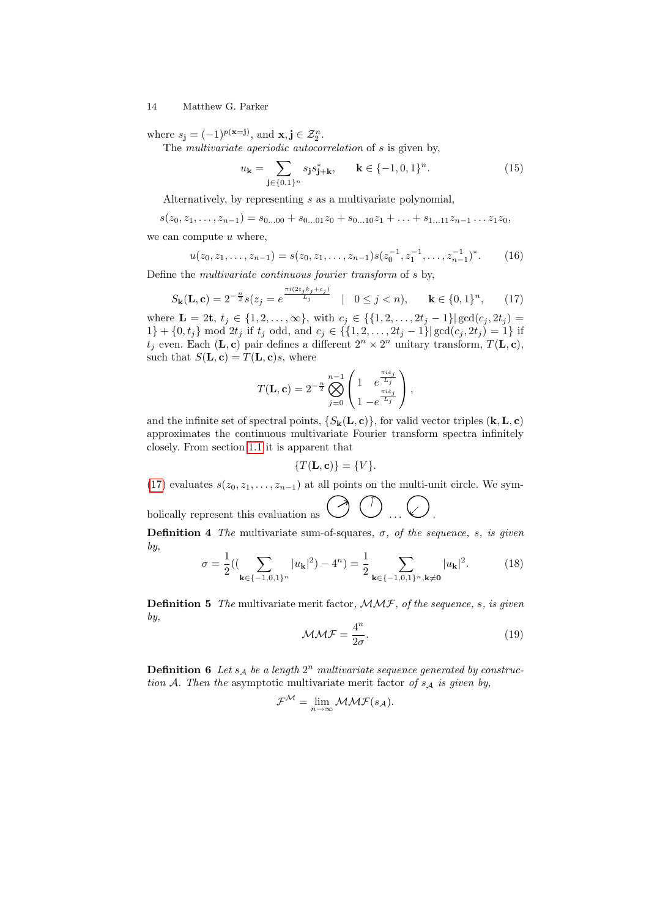where  $s_{\mathbf{j}} = (-1)^{p(\mathbf{x}=\mathbf{j})}$ , and  $\mathbf{x}, \mathbf{j} \in \mathcal{Z}_2^n$ .

<span id="page-13-2"></span>The *multivariate aperiodic autocorrelation* of s is given by,

<span id="page-13-1"></span><span id="page-13-0"></span>
$$
u_{\mathbf{k}} = \sum_{\mathbf{j} \in \{0,1\}^n} s_{\mathbf{j}} s_{\mathbf{j}+\mathbf{k}}^*, \qquad \mathbf{k} \in \{-1,0,1\}^n. \tag{15}
$$

Alternatively, by representing s as a multivariate polynomial,

$$
s(z_0, z_1, \dots, z_{n-1}) = s_{0...00} + s_{0...01}z_0 + s_{0...10}z_1 + \dots + s_{1...11}z_{n-1} \dots z_1z_0,
$$
  
Then compute *u* where

we can compute  $u$  where,

by,

$$
u(z_0, z_1, \dots, z_{n-1}) = s(z_0, z_1, \dots, z_{n-1}) s(z_0^{-1}, z_1^{-1}, \dots, z_{n-1}^{-1})^*.
$$
 (16)

Define the multivariate continuous fourier transform of s by,

$$
S_{\mathbf{k}}(\mathbf{L}, \mathbf{c}) = 2^{-\frac{n}{2}} s(z_j = e^{\frac{\pi i (2t_j k_j + c_j)}{L_j}} \quad | \quad 0 \le j < n), \qquad \mathbf{k} \in \{0, 1\}^n, \tag{17}
$$

where  $\mathbf{L} = 2\mathbf{t}, t_j \in \{1, 2, ..., \infty\},\$  with  $c_j \in \{\{1, 2, ..., 2t_j - 1\} | \gcd(c_j, 2t_j) =$ 1} + {0, t<sub>j</sub>} mod 2t<sub>j</sub> if t<sub>j</sub> odd, and  $c_j \in \{ \{1, 2, ..., 2t_j - 1\} | \gcd(c_j, 2t_j) = 1 \}$  if  $t_j$  even. Each  $(L, c)$  pair defines a different  $2^n \times 2^n$  unitary transform,  $T(L, c)$ , such that  $S(\mathbf{L}, \mathbf{c}) = T(\mathbf{L}, \mathbf{c})s$ , where

$$
T(\mathbf{L}, \mathbf{c}) = 2^{-\frac{n}{2}} \bigotimes_{j=0}^{n-1} \begin{pmatrix} 1 & e^{\frac{\pi i c_j}{L_j}} \\ a_{\frac{\pi i c_j}{L_j}} \end{pmatrix},
$$

and the infinite set of spectral points,  $\{S_k(\mathbf{L}, \mathbf{c})\}$ , for valid vector triples  $(k, \mathbf{L}, \mathbf{c})$ approximates the continuous multivariate Fourier transform spectra infinitely closely. From section 1.1 it is apparent that

$$
\{T(\mathbf{L}, \mathbf{c})\} = \{V\}.
$$

<span id="page-13-3"></span>(17) evaluates  $s(z_0, z_1, \ldots, z_{n-1})$  at all points on the multi-unit circle. We symbolically represent this evaluation as  $\bigodot \bigodot ... \bigodot$ 

**Definition 4** The multivariate sum-of-squares,  $\sigma$ , of the sequence, s, is given

$$
\sigma = \frac{1}{2} \left( \sum_{\mathbf{k} \in \{-1, 0, 1\}^n} |u_{\mathbf{k}}|^2 - 4^n \right) = \frac{1}{2} \sum_{\mathbf{k} \in \{-1, 0, 1\}^n, \mathbf{k} \neq \mathbf{0}} |u_{\mathbf{k}}|^2. \tag{18}
$$

**Definition 5** The multivariate merit factor,  $MMF$ , of the sequence, s, is given by,

$$
\mathcal{M}\mathcal{M}\mathcal{F} = \frac{4^n}{2\sigma}.\tag{19}
$$

**Definition 6** Let  $s_A$  be a length  $2^n$  multivariate sequence generated by construction A. Then the asymptotic multivariate merit factor of  $s_A$  is given by,

$$
\mathcal{F}^{\mathcal{M}} = \lim_{n \to \infty} \mathcal{MMF}(s_{\mathcal{A}}).
$$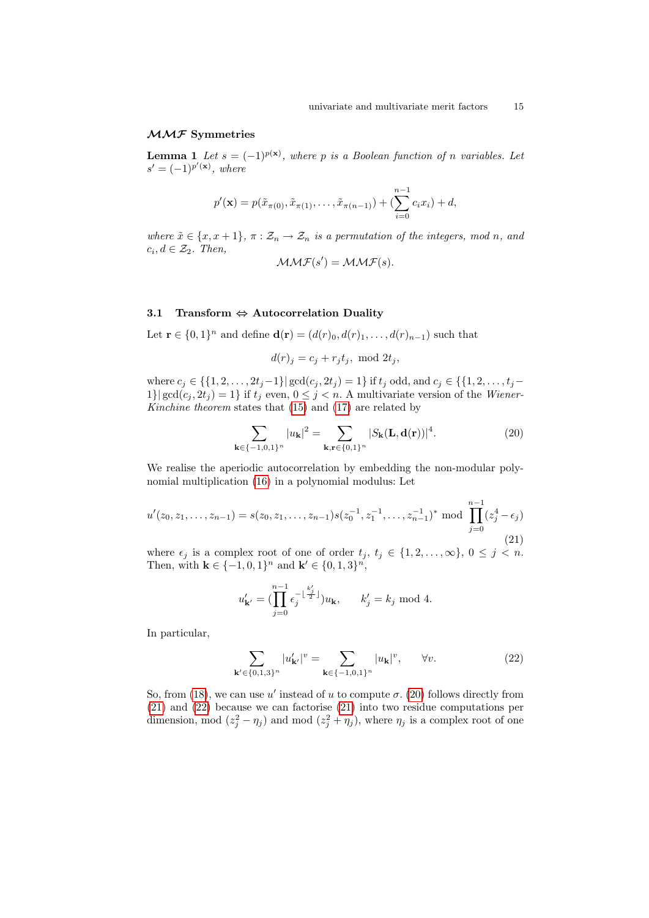#### <span id="page-14-0"></span>MMF Symmetries

**Lemma 1** Let  $s = (-1)^{p(x)}$ , where p is a Boolean function of n variables. Let  $s' = (-1)^{p'(\mathbf{x})}$ , where

$$
p'(\mathbf{x}) = p(\tilde{x}_{\pi(0)}, \tilde{x}_{\pi(1)}, \dots, \tilde{x}_{\pi(n-1)}) + (\sum_{i=0}^{n-1} c_i x_i) + d,
$$

where  $\tilde{x} \in \{x, x+1\}, \pi : \mathcal{Z}_n \to \mathcal{Z}_n$  is a permutation of the integers, mod n, and  $c_i, d \in \mathcal{Z}_2$ . Then,

$$
\mathcal{MMF}(s') = \mathcal{MMF}(s).
$$

#### 3.1 Transform ⇔ Autocorrelation Duality

Let  $\mathbf{r} \in \{0,1\}^n$  $\mathbf{r} \in \{0,1\}^n$  $\mathbf{r} \in \{0,1\}^n$  an[d de](#page-13-1)fine  $\mathbf{d}(\mathbf{r}) = (d(r)_0, d(r)_1, \dots, d(r)_{n-1})$  such that

<span id="page-14-1"></span> $d(r)_i = c_i + r_i t_i$ , mod  $2t_i$ ,

where  $c_j \in \{\{1, 2, \ldots, 2t_j-1\} | \gcd(c_j, 2t_j) = 1\}$  if  $t_j$  odd, and  $c_j \in \{\{1, 2, \ldots, t_j-1\} | \gcd(c_j, 2t_j) = 1\}$ 1}| gcd $(c_j, 2t_j) = 1$ } if  $t_j$  even,  $0 \le j < n$ . A multivariate version of the *Wiener-*[Kinc](#page-13-2)hine theorem states that  $(15)$  and  $(17)$  are related by

$$
\sum_{\mathbf{k}\in\{-1,0,1\}^n} |u_{\mathbf{k}}|^2 = \sum_{\mathbf{k},\mathbf{r}\in\{0,1\}^n} |S_{\mathbf{k}}(\mathbf{L},\mathbf{d}(\mathbf{r}))|^4.
$$
 (20)

We realise the aperiodic autocorrelation by embedding the non-modular polynomial multiplication (16) in a polynomial modulus: Let

$$
u'(z_0, z_1, \dots, z_{n-1}) = s(z_0, z_1, \dots, z_{n-1})s(z_0^{-1}, z_1^{-1}, \dots, z_{n-1}^{-1})^* \mod \prod_{j=0}^{n-1} (z_j^4 - \epsilon_j)
$$
\n(21)

where  $\epsilon_j$  is a complex root of one of order  $t_j, t_j \in \{1, 2, ..., \infty\}, 0 \le j < n$ . Then, with  $\mathbf{k} \in \{-1, 0, 1\}^n$  and  $\mathbf{k}' \in \{0, 1, 3\}^n$ ,

$$
u'_{\mathbf{k}'} = \left(\prod_{j=0}^{n-1} \epsilon_j^{-\lfloor \frac{k'_j}{2} \rfloor}\right) u_{\mathbf{k}}, \qquad k'_j = k_j \text{ mod } 4.
$$

In particular,

$$
\sum_{\mathbf{k}' \in \{0,1,3\}^n} |u'_{\mathbf{k}'}|^v = \sum_{\mathbf{k} \in \{-1,0,1\}^n} |u_{\mathbf{k}}|^v, \qquad \forall v.
$$
 (22)

So, from (18), we can use u' instead of u to compute  $\sigma$ . (20) follows directly from (21) and (22) because we can factorise (21) into two residue computations per dimension, mod  $(z_j^2 - \eta_j)$  and mod  $(z_j^2 + \eta_j)$ , where  $\eta_j$  is a complex root of one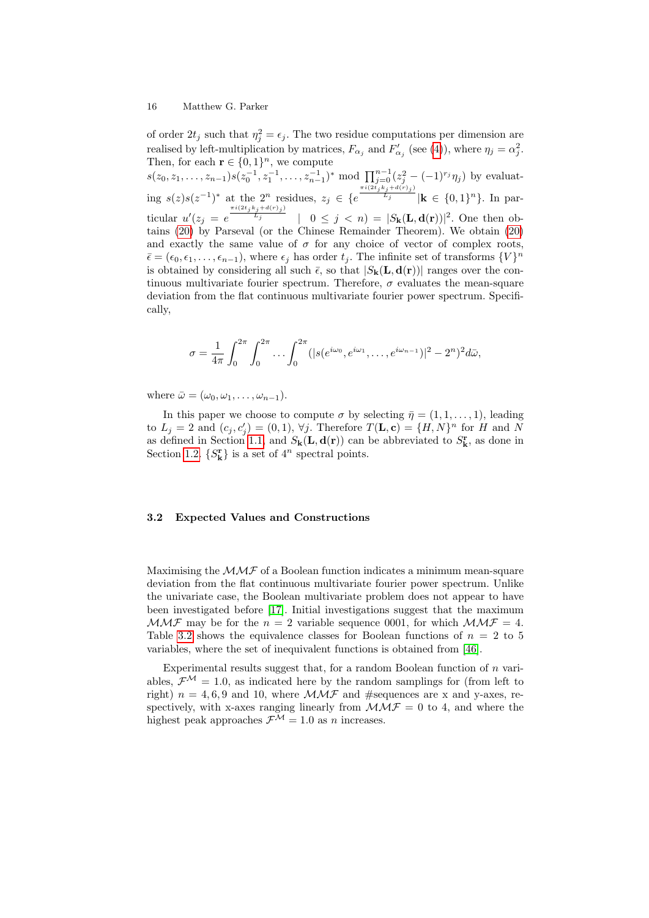of order  $2t_j$  such that  $\eta_j^2 = \epsilon_j$ . The two residue computations per dimension are realised by left-multiplication by matrices,  $F_{\alpha_j}$  and  $F'_{\alpha_j}$  (see (4)), where  $\eta_j = \alpha_j^2$ . Then, for each  $\mathbf{r} \in \{0,1\}^n$ , we compute

 $s(z_0, z_1, \ldots, z_{n-1}) s(z_0^{-1}, z_1^{-1}, \ldots, z_{n-1}^{-1})^* \mod \prod_{j=0}^{n-1} (z_j^2 - (-1)^{r_j} \eta_j)$  by evaluating  $s(z)s(z^{-1})^*$  at the  $2^n$  residues,  $z_j \in \{e^{\frac{\pi i(2t_j k_j + d(r)_j)}{L_j}} | \mathbf{k} \in \{0,1\}^n\}$ . In particular  $u'(z_j = e^{\frac{\pi i (2t_j k_j + d(r)_j)}{L_j}}$  |  $0 \leq j < n$  =  $|S_{\bf k}({\bf L}, {\bf d}({\bf r}))|^2$ . One then obtains (20) by Parseval (or the Chinese Remainder Theorem). We obtain (20) and exactly the same value of  $\sigma$  for any choice of vector of complex roots,  $\bar{\epsilon} = (\epsilon_0, \epsilon_1, \ldots, \epsilon_{n-1}),$  where  $\epsilon_j$  has order  $t_j$ . The infinite set of transforms  $\{V\}^n$ is obtained by considering all such  $\bar{\epsilon}$ , so that  $|S_{\bf k}({\bf L}, {\bf d}({\bf r}))|$  ranges over the continuous multivariate fourier spectrum. Therefore,  $\sigma$  evaluates the mean-square deviation from the flat continuous multivariate fourier power spectrum. Specifically,

$$
\sigma = \frac{1}{4\pi} \int_0^{2\pi} \int_0^{2\pi} \dots \int_0^{2\pi} (|s(e^{i\omega_0}, e^{i\omega_1}, \dots, e^{i\omega_{n-1}})|^2 - 2^n)^2 d\bar{\omega},
$$

where  $\bar{\omega} = (\omega_0, \omega_1, \ldots, \omega_{n-1}).$ 

In this paper we choose to compute  $\sigma$  by selecting  $\bar{\eta} = (1, 1, \ldots, 1)$ , leading to  $L_j = 2$  and  $(c_j, c'_j) = (0, 1), \forall j$ . Therefore  $T(\mathbf{L}, \mathbf{c}) = \{H, N\}^n$  for H and N as defined in Section 1.1, and  $S_{\bf k}({\bf L}, {\bf d}({\bf r}))$  can be abbreviated to  $S_{\bf k}^{\bf r}$ , as done in Section 1.2.  $\{S_{\mathbf{k}}^{\mathbf{r}}\}$  is a set of  $4^n$  spectral points.

### 3.2 Expected Values and Constructions

Maximising the  $MMF$  of a Boolean function indicates a minimum mean-square deviation from the flat continuous multivaria[te f](#page-30-1)ourier power spectrum. Unlike the univariate case, the Boolean multivariate problem does not appear to have been investigated before [17]. Initial investigations suggest that the maximum  $MMF$  may be for the  $n = 2$  variable sequence 0001, for which  $MMF = 4$ . Table 3.2 shows the equivalence classes for Boolean functions of  $n = 2$  to 5 variables, where the set of inequivalent functions is obtained from [46].

Experimental results suggest that, for a random Boolean function of  $n$  variables,  $\mathcal{F}^{\mathcal{M}}=1.0$ , as indicated here by the random samplings for (from left to right)  $n = 4, 6, 9$  and 10, where  $MMF$  and #sequences are x and y-axes, respectively, with x-axes ranging linearly from  $MMF = 0$  to 4, and where the highest peak approaches  $\mathcal{F}^{\mathcal{M}} = 1.0$  as *n* increases.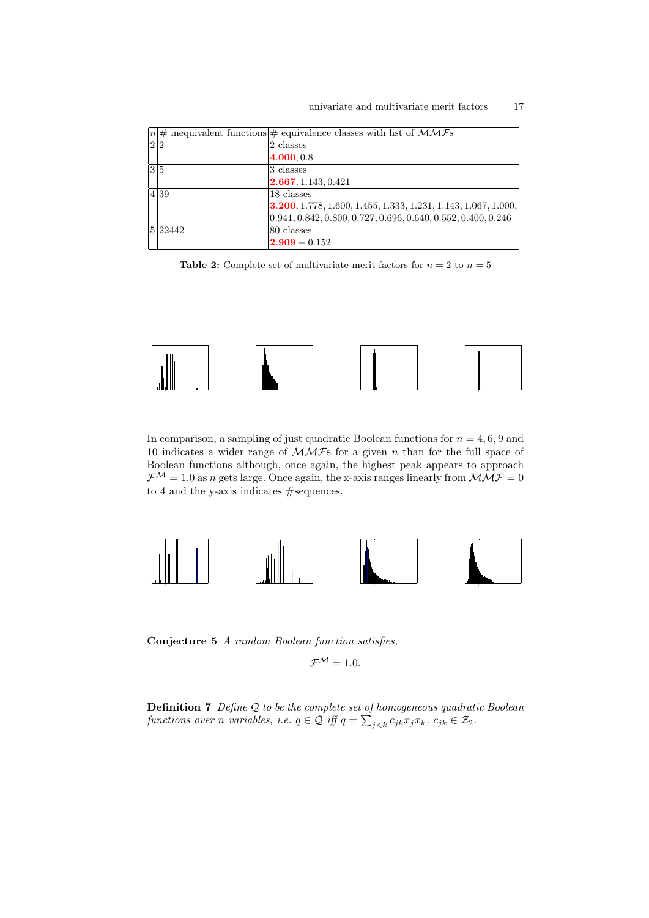|     |            | $ n \#$ inequivalent functions $ \#$ equivalence classes with list of $MM\mathcal{F}s$                                    |
|-----|------------|---------------------------------------------------------------------------------------------------------------------------|
|     | $\sqrt{2}$ | 2 classes                                                                                                                 |
|     |            | 4.000, 0.8                                                                                                                |
| 3 5 |            | 3 classes                                                                                                                 |
|     |            | 2.667, 1.143, 0.421                                                                                                       |
|     | 4 39       | 18 classes                                                                                                                |
|     |            | $\left  \frac{3.200}{1.778}, \frac{1.600}{1.455}, \frac{1.333}{1.231}, \frac{1.143}{1.067}, \frac{1.000}{1.000}, \right $ |
|     |            | $[0.941, 0.842, 0.800, 0.727, 0.696, 0.640, 0.552, 0.400, 0.246]$                                                         |
|     | 5 22442    | 80 classes                                                                                                                |
|     |            | $2.909 - 0.152$                                                                                                           |

**Table 2:** Complete set of multivariate merit factors for  $n = 2$  to  $n = 5$ 



In comparison, a sampling of just quadratic Boolean functions for  $n = 4, 6, 9$  and 10 indicates a wider range of  $MM\mathcal{F}$ s for a given n than for the full space of Boolean functions although, once again, the highest peak appears to approach  $\mathcal{F}^{\mathcal{M}}=1.0$  as n gets large. Once again, the x-axis ranges linearly from  $\mathcal{M}\mathcal{M}\mathcal{F}=0$ to 4 and the y-axis indicates #sequences.



Conjecture 5 A random Boolean function satisfies,

 $\mathcal{F}^{\mathcal{M}}=1.0.$ 

Definition 7 Define Q to be the complete set of homogeneous quadratic Boolean functions over n variables, i.e.  $q \in \mathcal{Q}$  iff  $q = \sum_{j < k} c_{jk} x_j x_k, c_{jk} \in \mathcal{Z}_2$ .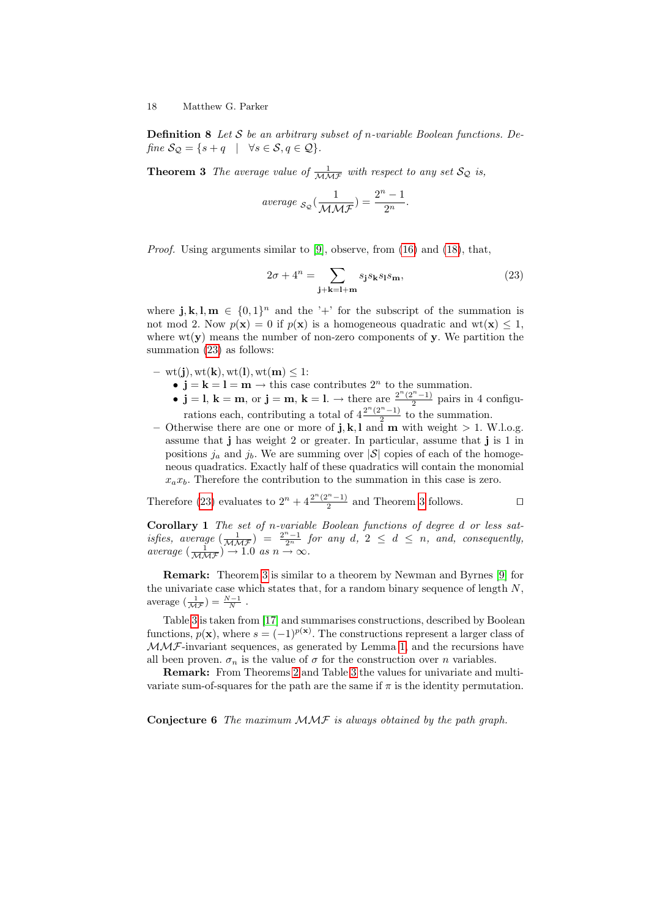<span id="page-17-0"></span>**Definition 8** Let  $S$  be an arbitrary subset of n-variable Boolean functions. Define  $S_{\mathcal{Q}} = \{s + q \mid \forall s \in \mathcal{S}, q \in \mathcal{Q}\}.$ 

**[Th](#page-28-7)eorem 3** The average value [of](#page-13-2)  $\frac{1}{\mathcal{M}\mathcal{M}\mathcal{F}}$  [wit](#page-13-3)h respect to any set  $\mathcal{S}_{\mathcal{Q}}$  is,

$$
\textit{average } \ \mathit{_{\mathcal{S}_{\mathcal{Q}}}}(\frac{1}{\mathcal{M} \mathcal{M} \mathcal{F}}) = \frac{2^n-1}{2^n}.
$$

Proof. Using arguments similar to [9], observe, from (16) and (18), that,

$$
2\sigma + 4^n = \sum_{\mathbf{j} + \mathbf{k} = 1 + \mathbf{m}} s_{\mathbf{j}} s_{\mathbf{k}} s_{\mathbf{l}} s_{\mathbf{m}},\tag{23}
$$

where  $\mathbf{j}, \mathbf{k}, \mathbf{l}, \mathbf{m} \in \{0, 1\}^n$  and the '+' for the subscript of the summation is not mod 2. Now  $p(x) = 0$  if  $p(x)$  is a homogeneous quadratic and  $wt(x) \leq 1$ , where  $wt(y)$  means the number of non-zero components of y. We partition the summation (23) as follows:

- $-$  wt(j), wt(k), wt(l), wt(m)  $\leq 1$ :
	- $\mathbf{j} = \mathbf{k} = \mathbf{l} = \mathbf{m} \rightarrow \text{this case contributes } 2^n \text{ to the summation.}$
	- $\mathbf{j} = \mathbf{l}$ ,  $\mathbf{k} = \mathbf{m}$ , or  $\mathbf{j} = \mathbf{m}$ ,  $\mathbf{k} = \mathbf{l}$ . → there are  $\frac{2^n(2^n-1)}{2}$  $\frac{2^{7}-1}{2}$  pairs in 4 configurations each, contributing a total of  $4\frac{2^n(2^n-1)}{2}$  $\frac{z^{2}-1}{2}$  to the summation.
- Otherwise there ar[e o](#page-17-0)ne or more of  $\mathbf{j}, \mathbf{k}, \mathbf{l}$  and m with weight  $> 1$ . W.l.o.g. assume that j has weight 2 or greater. In particular, assume that j is 1 in positions  $j_a$  and  $j_b$ . We are summing over  $|\mathcal{S}|$  copies of each of the homogeneous quadratics. Exactly half of these quadratics will contain the monomial  $x_a x_b$ . Therefore the contribution to the summation in this case is zero.

Th[er](#page-17-0)efore (23) evaluates to  $2^{n} + 4 \frac{2^{n}(2^{n}-1)}{2}$  $\frac{1}{2}$  and Theo[re](#page-28-7)m 3 follows.

Corollary 1 The set of n-variable Boolean functions of degree d or less satisfies, average  $\left(\frac{1}{\mathcal{M}\mathcal{M}\mathcal{F}}\right) = \frac{2^{n}-1}{2^{n}}$  for any  $d, 2 \leq d \leq n$ , and, consequently,  $average\ (\frac{1}{\mathcal{M}\mathcal{M}\mathcal{F}}) \rightarrow 1.0 \text{ as } n \rightarrow \infty.$  $average\ (\frac{1}{\mathcal{M}\mathcal{M}\mathcal{F}}) \rightarrow 1.0 \text{ as } n \rightarrow \infty.$  $average\ (\frac{1}{\mathcal{M}\mathcal{M}\mathcal{F}}) \rightarrow 1.0 \text{ as } n \rightarrow \infty.$ 

Remark: Theorem 3 is sim[ila](#page-14-0)r to a theorem by Newman and Byrnes [9] for the univariate case which states that, for a random binary sequence of length  $N$ , average  $\left(\frac{1}{\mathcal{M}\mathcal{F}}\right) = \frac{N-1}{N}$ .

Table 3 is taken from [17] and summarises constructions, described by Boolean functions,  $p(\mathbf{x})$ , where  $s = (-1)^{p(\mathbf{x})}$ . The constructions represent a larger class of  $MMF$ -invariant sequences, as generated by Lemma 1, and the recursions have all been proven.  $\sigma_n$  is the value of  $\sigma$  for the construction over *n* variables.

Remark: From Theorems 2 and Table 3 the values for univariate and multivariate sum-of-squares for the path are the same if  $\pi$  is the identity permutation.

**Conjecture 6** The maximum  $MMF$  is always obtained by the path graph.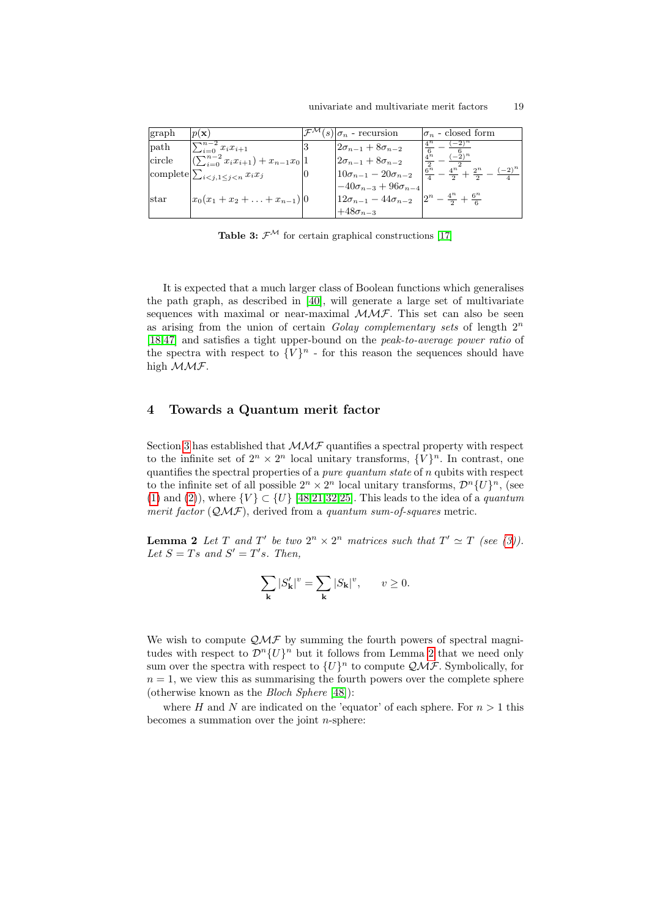| graph       | $p(\mathbf{x})$                                                              |   | $(s) \sigma_n$ - recursion                                                               | $\sigma_n$ - closed form                                                                                                                                     |
|-------------|------------------------------------------------------------------------------|---|------------------------------------------------------------------------------------------|--------------------------------------------------------------------------------------------------------------------------------------------------------------|
| path        | $\sum_{i=0}^{n-2} x_i x_{i+1}$                                               | 3 | $ 2\sigma_{n-1}+8\sigma_{n-2} $                                                          | $(-2)^n$                                                                                                                                                     |
| circle      | $\left  \left( \sum_{i=0}^{n-2} x_i x_{i+1} \right) + x_{n-1} x_0 \right  1$ |   | $ 2\sigma_{n-1}+8\sigma_{n-2} $                                                          | $\begin{array}{l} \boxed{\frac{6}{6}}-\frac{6}{6}\\ \frac{4^n}{2}-\frac{(-2)^n}{2}\\ \frac{6^n}{4}-\frac{4^n}{2}+\frac{2^n}{2}-\frac{(-2)^n}{4} \end{array}$ |
|             | complete $\sum_{i \leq j, 1 \leq j \leq n} x_i x_j$                          |   | $10\sigma_{n-1} - 20\sigma_{n-2}$                                                        |                                                                                                                                                              |
|             |                                                                              |   | $\left -40\sigma_{n-3}+96\sigma_{n-4}\right $                                            |                                                                                                                                                              |
| <b>star</b> | $ x_0(x_1+x_2+\ldots+x_{n-1}) 0$                                             |   | $\left 12\sigma_{n-1}-44\sigma_{n-2}\right 2^{n}-\frac{4^{n}}{2}+\frac{6^{n}}{6}\right $ |                                                                                                                                                              |
|             |                                                                              |   | $+48\sigma_{n-3}$                                                                        |                                                                                                                                                              |

**[T](#page-29-15)able 3:**  $\mathcal{F}^{\mathcal{M}}$  for certain graphical constructions [17]

It is expected that a much larger class of Boolean functions which generalises the path graph, as described in [40], will generate a large set of multivariate sequences with maximal or near-maximal  $MMF$ . This set can also be seen as arising from the union of certain  $Golay$  complementary sets of length  $2<sup>n</sup>$ [18,47] and satisfies a tight upper-bound on the peak-to-average power ratio of the spectra with respect to  ${V}^n$  - for this reason the sequences should have high MMF.

# 4 Towards a Quantum merit factor

Section 3 has established that  $MMF$  quantifies a spectral property with respect to the infinite set of  $2^n \times 2^n$  local unitary transforms,  $\{V\}^n$ . In contrast, one quantifies the spectral properties of a *pure quantum sta[te](#page-3-0)* of  $n$  qubits with respect to the infinite set of all possible  $2^n \times 2^n$  local unitary transforms,  $\mathcal{D}^n \{U\}^n$ , (see (1) and (2)), where  $\{V\} \subset \{U\}$  [48,21,32,25]. This leads to the idea of a *quantum* merit factor  $(QMF)$ , derived from a quantum sum-of-squares metric.

**Lemma 2** Let T and T' be two  $2^n \times 2^n$  matrices such that  $T' \simeq T$  (see (3)). Let  $S = Ts$  and  $S' = T's$ . Then,

<span id="page-18-0"></span>
$$
\sum_{\mathbf{k}}|S'_{\mathbf{k}}|^v=\sum_{\mathbf{k}}|S_{\mathbf{k}}|^v,\qquad v\geq 0.
$$

We wish to compute  $\mathcal{QMF}$  by summing the fourth powers of spectral magnitudes with respect to  $\mathcal{D}^n \{U\}^n$  but it follows from Lemma 2 that we need only sum over the spectra with respect to  $\{U\}^n$  to compute  $\mathcal{QMF}$ . Symbolically, for  $n = 1$ , we view this as summarising the fourth powers over the complete sphere (otherwise known as the Bloch Sphere [48]):

where H and N are indicated on the 'equator' of each sphere. For  $n > 1$  this becomes a summation over the joint  $n$ -sphere: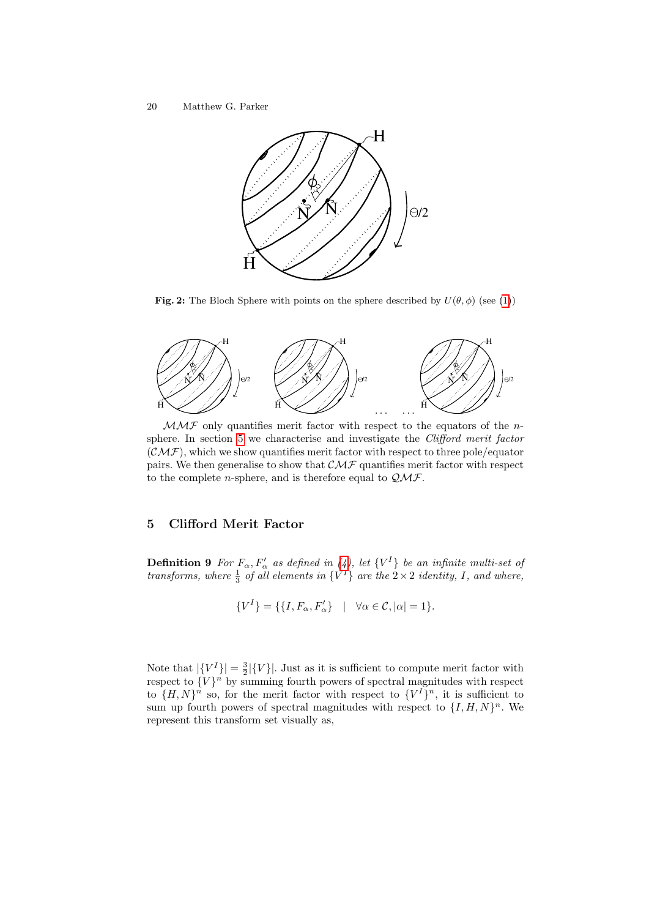

Fig. 2: The Bloch Sphere with points on the sphere described by  $U(\theta, \phi)$  (see (1))



 $MMF$  only quantifies merit factor with respect to the equators of the nsphere. In section 5 we characterise and investigate the Clifford merit factor  $(CMF)$ , which we show quantifies merit factor with respect to three pole/equator pairs. We then generalise to show that  $\mathcal{CMF}$  quantifies merit factor with respect to the complete *n*-sphere, and is therefore equal to  $QMF$ .

# <span id="page-19-0"></span>5 Clifford Merit Factor

**Definition 9** For  $F_{\alpha}, F_{\alpha}'$  as defined in (4), let  $\{V^{I}\}\$  be an infinite multi-set of transforms, where  $\frac{1}{3}$  of all elements in  $\{V^I\}$  are the  $2 \times 2$  identity, I, and where,

$$
\{V^I\} = \{\{I, F_{\alpha}, F'_{\alpha}\} \quad | \quad \forall \alpha \in \mathcal{C}, |\alpha| = 1\}.
$$

Note that  $|\{V^I\}| = \frac{3}{2} |\{V\}|$ . Just as it is sufficient to compute merit factor with respect to  ${V}^n$  by summing fourth powers of spectral magnitudes with respect to  $\{H, N\}^n$  so, for the merit factor with respect to  $\{V^I\}^n$ , it is sufficient to sum up fourth powers of spectral magnitudes with respect to  $\{I, H, N\}^n$ . We represent this transform set visually as,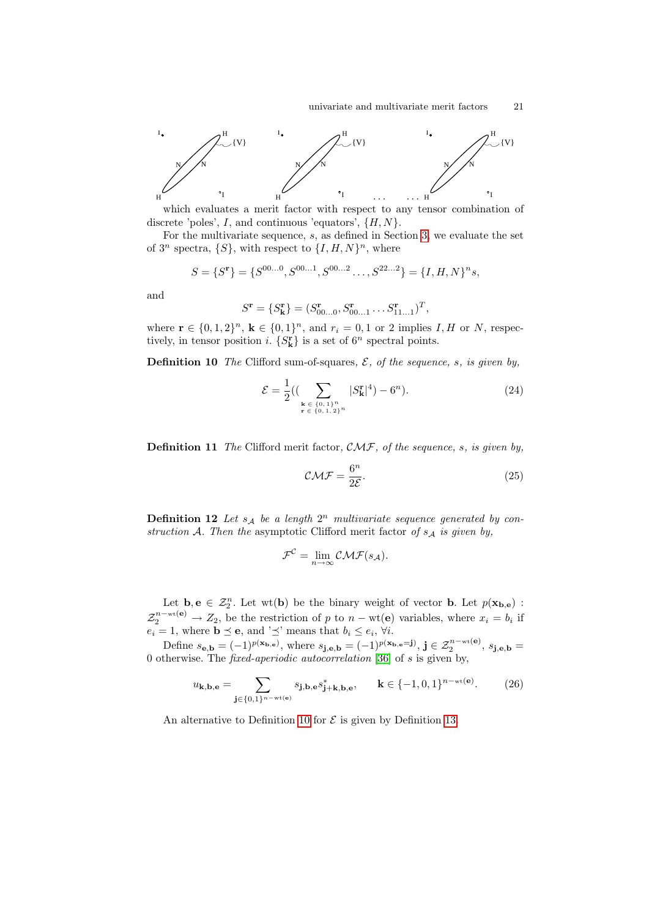

which evaluates a merit factor with respect to any tensor combination of discrete 'poles', I, and continuous 'equators',  $\{H, N\}$ .

For the multivariate sequence, s, as defined in Section 3, we evaluate the set of  $3^n$  spectra,  $\{S\}$ , with respect to  $\{I, H, N\}^n$ , where

$$
S = \{S^{\mathbf{r}}\} = \{S^{00...0}, S^{00...1}, S^{00...2} \dots, S^{22...2}\} = \{I, H, N\}^{n} s,
$$

and

<span id="page-20-0"></span>
$$
S^{\mathbf{r}} = \{S_{\mathbf{k}}^{\mathbf{r}}\} = (S_{00...0}^{\mathbf{r}}, S_{00...1}^{\mathbf{r}} \dots S_{11...1}^{\mathbf{r}})^{T},
$$

where  $\mathbf{r} \in \{0, 1, 2\}^n$ ,  $\mathbf{k} \in \{0, 1\}^n$ , and  $r_i = 0, 1$  or 2 implies  $I, H$  or N, respectively, in tensor position *i*.  ${S_{\bf k}^{\bf r}}$  is a set of  $6^n$  spectral points.

<span id="page-20-2"></span>**Definition 10** The Clifford sum-of-squares,  $\mathcal{E}$ , of the sequence, s, is given by,

$$
\mathcal{E} = \frac{1}{2} \left( \left( \sum_{\substack{\mathbf{k} \in \{0, 1\}^n \\ \mathbf{r} \in \{0, 1, 2\}^n}} |S_{\mathbf{k}}^{\mathbf{r}}|^4 \right) - 6^n \right). \tag{24}
$$

**Definition 11** The Clifford merit factor,  $CMF$ , of the sequence, s, is given by,

$$
\mathcal{CMF} = \frac{6^n}{2\mathcal{E}}.\tag{25}
$$

**Definition 12** Let  $s_A$  be a length  $2^n$  multivariate sequence generated by construction A. Then the asymptotic Clifford merit factor of  $s_A$  is given by,

<span id="page-20-1"></span>
$$
\mathcal{F}^{\mathcal{C}} = \lim_{n \to \infty} \mathcal{CMF}(s_{\mathcal{A}}).
$$

Let  $\mathbf{b}, \mathbf{e} \in \mathcal{Z}_2^n$ . Let wt(b) be the binary weight of vector **b**. Let  $p(\mathbf{x}_{\mathbf{b},\mathbf{e}})$ :  $\mathcal{Z}_2^{n-wt(e)} \to Z_2$ , be the restriction of p to  $n - wt(e)$  variables, where  $x_i = b_i$  if  $e_i = 1$ , where  $\mathbf{b} \preceq \mathbf{e}$ , and ' $\preceq$ ' means that  $b_i \leq e_i$ ,  $\forall i$ .

Define  $s_{\mathbf{e},\mathbf{b}} = (-1)^{p(\mathbf{x}_{\mathbf{b},\mathbf{e}})}$  $s_{\mathbf{e},\mathbf{b}} = (-1)^{p(\mathbf{x}_{\mathbf{b},\mathbf{e}})}$  $s_{\mathbf{e},\mathbf{b}} = (-1)^{p(\mathbf{x}_{\mathbf{b},\mathbf{e}})}$ , where  $s_{\mathbf{j},\mathbf{e},\mathbf{b}} = (-1)^{p(\mathbf{x}_{\mathbf{b},\mathbf{e}}=\mathbf{j})}$ ,  $\mathbf{j} \in \mathcal{Z}_2^{n-wt(\mathbf{e})}$ ,  $s_{\mathbf{j},\mathbf{e},\mathbf{b}} =$ 0 otherwis[e. T](#page-20-0)he *fixed-aperiodic autocorrelation* [36] of  $s$  is given by,

$$
u_{\mathbf{k},\mathbf{b},\mathbf{e}} = \sum_{\mathbf{j}\in\{0,1\}^{n-\text{wt}(\mathbf{e})}} s_{\mathbf{j},\mathbf{b},\mathbf{e}} s_{\mathbf{j}+\mathbf{k},\mathbf{b},\mathbf{e}}^*, \qquad \mathbf{k}\in\{-1,0,1\}^{n-\text{wt}(\mathbf{e})}.\tag{26}
$$

An alternative to Definition 10 for  $\mathcal E$  is given by Definition 13.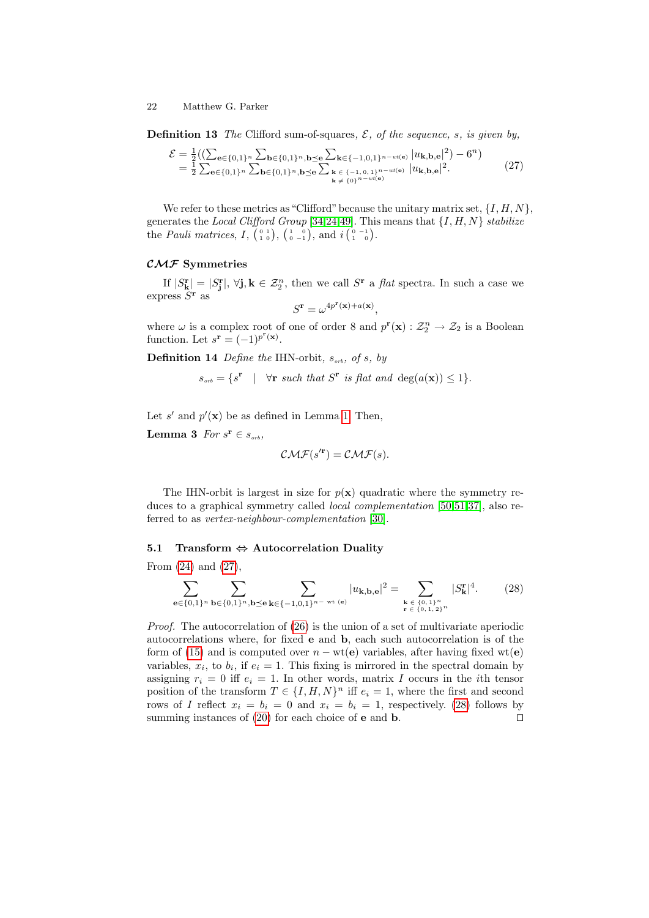**Definition 13** The Clifford sum-of-squares,  $\mathcal{E}$ , of the sequence, s, is given by,

$$
\mathcal{E} = \frac{1}{2} \left( \left( \sum_{\mathbf{e} \in \{0,1\}^n} \sum_{\mathbf{b} \in \{0,1\}^n, \mathbf{b} \preceq \mathbf{e}} \sum_{\mathbf{k} \in \{-1,0,1\}^n} \sum_{w \in \mathbf{e}} |u_{\mathbf{k},\mathbf{b},\mathbf{e}}|^2 \right) - 6^n \right)
$$
  
\n
$$
= \frac{1}{2} \sum_{\mathbf{e} \in \{0,1\}^n} \sum_{\mathbf{b} \in \{0,1\}^n, \mathbf{b} \preceq \mathbf{e}} \sum_{\mathbf{k} \in \{-1,0,1\}^n} \sum_{w \in \{0,1\}^n} \sum_{w \in \mathbf{e}} |u_{\mathbf{k},\mathbf{b},\mathbf{e}}|^2.
$$
 (27)

We refer to these metrics as "Clifford" because the unitary matrix set,  $\{I, H, N\}$ , generates the Local Clifford Group [34,24,49]. This means that  $\{I, H, N\}$  stabilize the *Pauli matrices*, I,  $\begin{pmatrix} 0 & 1 \\ 1 & 0 \end{pmatrix}$ ,  $\begin{pmatrix} 1 & 0 \\ 0 & -1 \end{pmatrix}$ , and  $i \begin{pmatrix} 0 & -1 \\ 1 & 0 \end{pmatrix}$ .

## CMF Symmetries

If  $|S_{\mathbf{k}}^{\mathbf{r}}| = |S_{\mathbf{j}}^{\mathbf{r}}|, \forall \mathbf{j}, \mathbf{k} \in \mathcal{Z}_2^n$ , then we call  $S^{\mathbf{r}}$  a *flat* spectra. In such a case we express  $S^{\mathbf{r}}$  as

<span id="page-21-0"></span>,

$$
S^{\mathbf{r}}=\omega^{4p^{\mathbf{r}}(\mathbf{x})+a(\mathbf{x})}
$$

where  $\omega$  is a complex root of one of order 8 and  $p^{\mathbf{r}}(\mathbf{x}) : \mathcal{Z}_2^n \to \mathcal{Z}_2$  is a Boolean function. Let  $s^{\mathbf{r}} = (-1)^{p^{\mathbf{r}}(\mathbf{x})}$ .

**Definition 14** Define the IHN-orbit,  $s_{orb}$ , of s, by

$$
s_{\text{orb}} = \{ s^{\mathbf{r}} \mid \forall \mathbf{r} \text{ such that } S^{\mathbf{r}} \text{ is flat and } \deg(a(\mathbf{x})) \le 1 \}.
$$

Let s' and  $p'(\mathbf{x})$  be as defined in Lemma 1. Then,

Lemma 3 For  $s^r \in s_{\text{orb}}$ ,

$$
\mathcal{CMF}(s^{\prime \mathbf{r}}) = \mathcal{CMF}(s).
$$

<span id="page-21-1"></span>The IHN-orbit is largest in size for  $p(x)$  quadratic where the symmetry reduces to a graphical symmetry called local complementation [50,51,37], also referred to as vertex-neighbour-complementation [30].

### 5.1 Tr[ansf](#page-20-1)orm  $\Leftrightarrow$  Autocorrelation Duality

From (24) and (27),

$$
\sum_{\mathbf{e}\in\{0,1\}^n} \sum_{\mathbf{b}\in\{0,1\}^n, \mathbf{b}\preceq\mathbf{e}} \sum_{\mathbf{k}\in\{-1,0,1\}^{n-\text{wt }(\mathbf{e})}} |u_{\mathbf{k},\mathbf{b},\mathbf{e}}|^2 = \sum_{\substack{\mathbf{k}\in\{0,1\}^n\\ \mathbf{r}\in\{0,1,2\}^n}} |S_{\mathbf{k}}^{\mathbf{r}}|^4. \tag{28}
$$

Proof. The autocorrelation of (26) is the union of a set of multivariate aperiodic autocorrelations where, for fixed e and b, [eac](#page-21-1)h such autocorrelation is of the f[orm](#page-14-1) of (15) and is computed over  $n - wt(e)$  variables, after having fixed wt(e) variables,  $x_i$ , to  $b_i$ , if  $e_i = 1$ . This fixing is mirrored in the spectral domain by assigning  $r_i = 0$  iff  $e_i = 1$ . In other words, matrix I occurs in the *i*th tensor position of the transform  $T \in \{I, H, N\}^n$  iff  $e_i = 1$ , where the first and second rows of I reflect  $x_i = b_i = 0$  and  $x_i = b_i = 1$ , respectively. (28) follows by summing instances of (20) for each choice of **e** and **b**.  $\Box$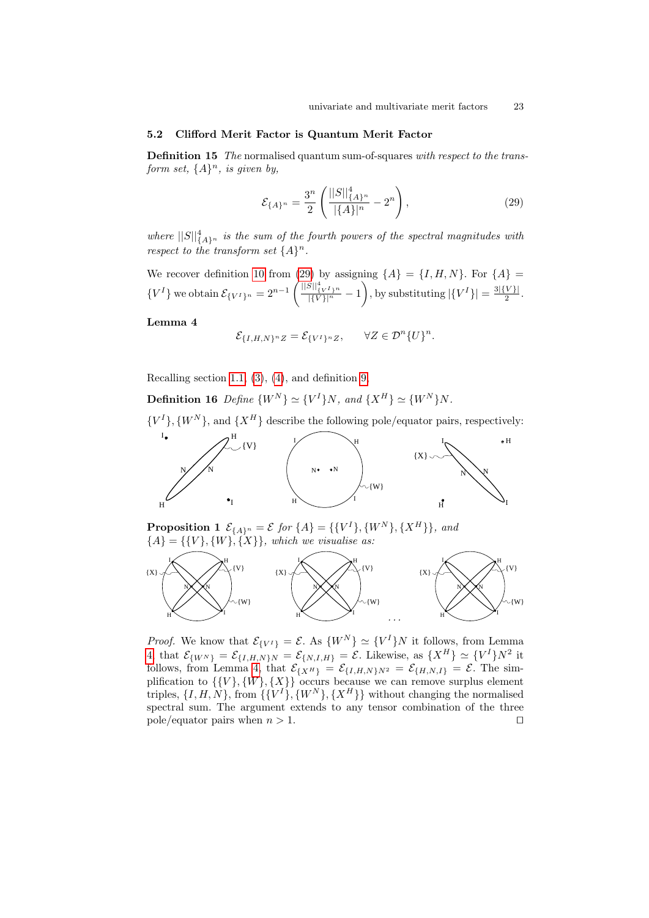#### 5.2 Clifford Merit Factor is Quantum Merit Factor

Definition 15 The normalised quantum sum-of-squares with respect to the transform set,  $\{A\}^n$ , is given by,

$$
\mathcal{E}_{\{A\}^n} = \frac{3^n}{2} \left( \frac{||S||_{\{A\}^n}^4}{|\{A\}|^n} - 2^n \right),\tag{29}
$$

<span id="page-22-0"></span>where  $||S||^4_{\{A\}^n}$  is the sum of the fourth powers of the spectral magnitudes with respect to the transform set  $\{A\}^n$ .

We recover definition 10 from (29) by assigning  $\{A\} = \{I, H, N\}$ . For  $\{A\}$  ${V^I}$  we obtain  $\mathcal{E}_{\{V^I\}^n} = 2^{n-1} \left( \frac{||S||_{\{V^I\}^n}^4}{||V||^n} - 1 \right)$ , by substituting  $|\{V^I\}| = \frac{3|\{V\}|^2}{2}$  $rac{V}{2}$ .

Lemma 4

$$
\mathcal{E}_{\{I,H,N\}^nZ} = \mathcal{E}_{\{V^I\}^nZ}, \qquad \forall Z \in \mathcal{D}^n\{U\}^n.
$$

Recalling section 1.1,  $(3)$ ,  $(4)$ , and definition 9,

**Definition 16** Define  $\{W^N\} \simeq \{V^I\}N$ , and  $\{X^H\} \simeq \{W^N\}N$ .

 ${V^I}, {W^N},$  and  ${X^H}$  describe the following pole/equator pairs, respectively:



**Proposition 1**  $\mathcal{E}_{\{A\}^n} = \mathcal{E}$  for  $\{A\} = \{\{V^I\}, \{W^N\}, \{X^H\}\}\$ , and  ${A} = {V}, {W}, {X}, {X}$ , which we visualise as:



*Proof.* We know that  $\mathcal{E}_{\{V^I\}} = \mathcal{E}$ . As  $\{W^N\} \simeq \{V^I\}$  it follows, from Lemma 4, that  $\mathcal{E}_{\{W^N\}} = \mathcal{E}_{\{I,H,N\}N} = \mathcal{E}_{\{N,I,H\}} = \mathcal{E}$ . Likewise, as  $\{X^H\} \simeq \{V^I\}N^2$  it follows, from Lemma 4, that  $\mathcal{E}_{\{X^H\}} = \mathcal{E}_{\{I,H,N\}N^2} = \mathcal{E}_{\{H,N,I\}} = \mathcal{E}$ . The simplification to  $\{ \{V\}, \{W\}, \{X\} \}$  occurs because we can remove surplus element triples,  $\{I, H, N\}$ , from  $\{\{V^I\}, \{W^N\}, \{X^H\}\}\$  without changing the normalised spectral sum. The argument extends to any tensor combination of the three pole/equator pairs when  $n > 1$ .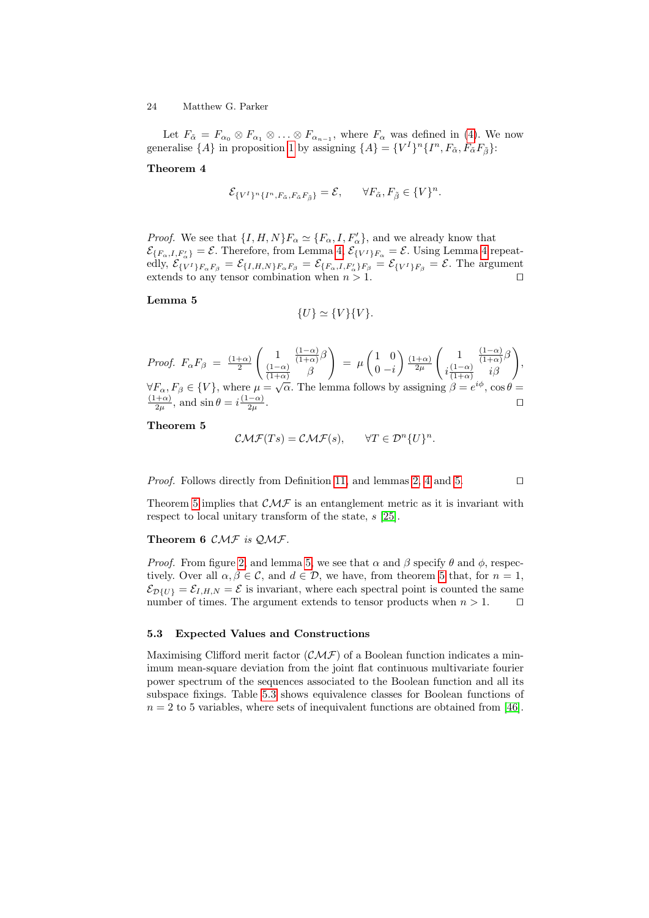Let  $F_{\tilde{\alpha}} = F_{\alpha_0} \otimes F_{\alpha_1} \otimes \ldots \otimes F_{\alpha_{n-1}}$ , where  $F_{\alpha}$  was defined in (4). We now generalise  $\{A\}$  in proposition 1 by assigning  $\{A\} = \{V^I\}^n \{I^n, F_{\tilde{\alpha}}, F_{\tilde{\alpha}} F_{\tilde{\beta}}\}$ :

#### Theorem 4

$$
\mathcal{E}_{\{V^I\}^n\{I^n,F_{\tilde{\alpha}},F_{\tilde{\alpha}}F_{\tilde{\beta}}\}}=\mathcal{E},\qquad\forall F_{\tilde{\alpha}},F_{\tilde{\beta}}\in\{V\}^n.
$$

<span id="page-23-0"></span>*Proof.* We see that  $\{I, H, N\}F_{\alpha} \simeq \{F_{\alpha}, I, F_{\alpha}'\}$ , and we already know that  $\mathcal{E}_{\{F_\alpha,I,F'_\alpha\}}=\mathcal{E}.$  Therefore, from Lemma 4,  $\mathcal{E}_{\{V^I\}F_\alpha}=\mathcal{E}.$  Using Lemma 4 repeatedly,  $\mathcal{E}_{\{V^I\}F_\alpha F_\beta} = \mathcal{E}_{\{I,H,N\}F_\alpha F_\beta} = \mathcal{E}_{\{F_\alpha,I,F'_\alpha\}F_\beta} = \mathcal{E}_{\{V^I\}F_\beta} = \mathcal{E}$ . The argument extends to any tensor combination when  $n > 1$ .

#### Lemma 5

$$
\{U\} \simeq \{V\}\{V\}.
$$

<span id="page-23-1"></span>Proof. 
$$
F_{\alpha}F_{\beta} = \frac{(1+\alpha)}{2} \begin{pmatrix} 1 & \frac{(1-\alpha)}{(1+\alpha)} \beta \\ \frac{(1-\alpha)}{(1+\alpha)} & \beta \end{pmatrix} = \mu \begin{pmatrix} 1 & 0 \\ 0 & -i \end{pmatrix} \frac{(1+\alpha)}{2\mu} \begin{pmatrix} 1 & \frac{(1-\alpha)}{(1+\alpha)} \beta \\ i\frac{(1-\alpha)}{(1+\alpha)} & i\beta \end{pmatrix},
$$
  
\n $\forall F_{\alpha}, F_{\beta} \in \{V\}, \text{ where } \mu = \sqrt{\alpha}.$  The lemma follows by assigning  $\beta = e^{i\phi}$ ,  $\cos \theta = \frac{(1+\alpha)}{2\mu}$ , and  $\sin \theta = i\frac{(1-\alpha)}{2\mu}.$ 

Theorem 5

$$
\mathcal{CMF}(Ts) = \mathcal{CMF}(s), \quad \forall T \in \mathcal{D}^n \{U\}^n.
$$

*Proof.* Follows directly from Definition 11, and lemmas 2, 4 and 5.  $\Box$ 

Theorem 5 [im](#page-23-0)plies that  $\mathcal{CMF}$  is [an](#page-23-1) entanglement metric as it is invariant with respect to local unitary transform of the state, s [25].

## Theorem 6  $CMF$  is  $QMF$ .

<span id="page-23-2"></span>*Proof.* From figure 2, and lemma 5, we see that  $\alpha$  and  $\beta$  specify  $\theta$  and  $\phi$ , respectively. Over all  $\alpha, \beta \in \mathcal{C}$ , and  $d \in \mathcal{D}$ , we have, from theorem 5 that, for  $n = 1$ ,  $\mathcal{E}_{\mathcal{D}{U}} = \mathcal{E}_{I,H,N} = \mathcal{E}$  is invariant, where each spectral point is counted the same number of times. The argument extends to tensor products when  $n > 1$ .

### 5.[3 E](#page-23-2)xpected Values and Constructions

Maximising Clifford merit factor  $(C\mathcal{MF})$  of a Boolean function indicates a minimum mean-square deviation from the joint flat continuous multivariate fourier power spectrum of the sequences associated to the Boolean function and all its subspace fixings. Table 5.3 shows equivalence classes for Boolean functions of  $n = 2$  to 5 variables, where sets of inequivalent functions are obtained from [46].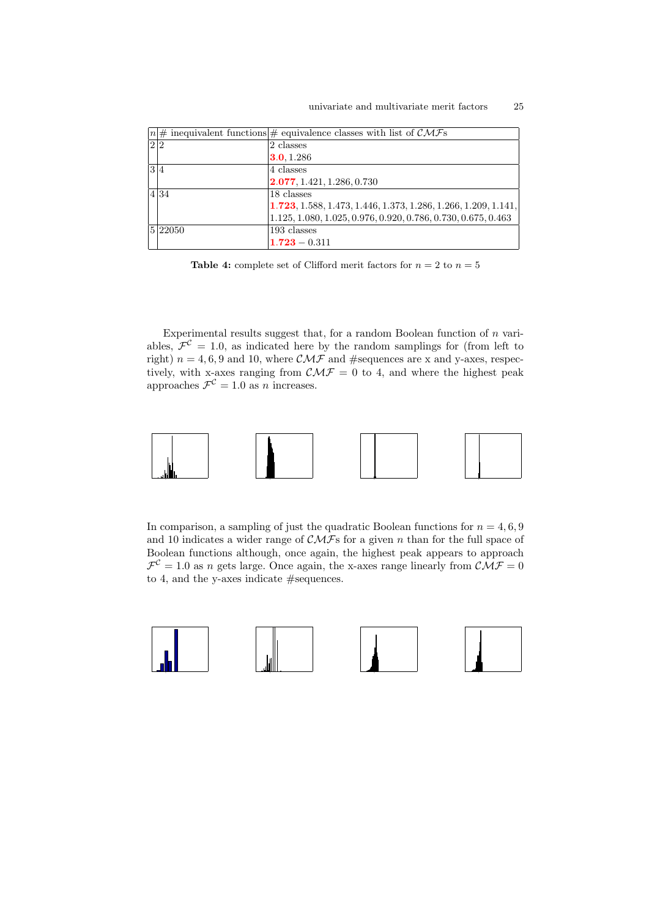|     |         | $ n \#$ inequivalent functions $ \#$ equivalence classes with list of $\mathcal{CMF}_s$ |
|-----|---------|-----------------------------------------------------------------------------------------|
| 2 2 |         | 2 classes                                                                               |
|     |         | 3.0, 1.286                                                                              |
| 3 4 |         | 4 classes                                                                               |
|     |         | 2.077, 1.421, 1.286, 0.730                                                              |
|     | 4 34    | 18 classes                                                                              |
|     |         | $1.723, 1.588, 1.473, 1.446, 1.373, 1.286, 1.266, 1.209, 1.141,$                        |
|     |         | $1.125, 1.080, 1.025, 0.976, 0.920, 0.786, 0.730, 0.675, 0.463$                         |
|     | 5 22050 | 193 classes                                                                             |
|     |         | $1.723 - 0.311$                                                                         |

**Table 4:** complete set of Clifford merit factors for  $n = 2$  to  $n = 5$ 

Experimental results suggest that, for a random Boolean function of  $n$  variables,  $\mathcal{F}^{\mathcal{C}} = 1.0$ , as indicated here by the random samplings for (from left to right)  $n = 4, 6, 9$  and 10, where  $\mathcal{CMF}$  and #sequences are x and y-axes, respectively, with x-axes ranging from  $\mathcal{CMF} = 0$  to 4, and where the highest peak approaches  $\mathcal{F}^{\mathcal{C}}=1.0$  as *n* increases.



In comparison, a sampling of just the quadratic Boolean functions for  $n = 4, 6, 9$ and 10 indicates a wider range of  $\mathcal{CMF}_s$  for a given n than for the full space of Boolean functions although, once again, the highest peak appears to approach  $\mathcal{F}^{\mathcal{C}}=1.0$  as n gets large. Once again, the x-axes range linearly from  $\mathcal{CMF}=0$ to 4, and the y-axes indicate #sequences.

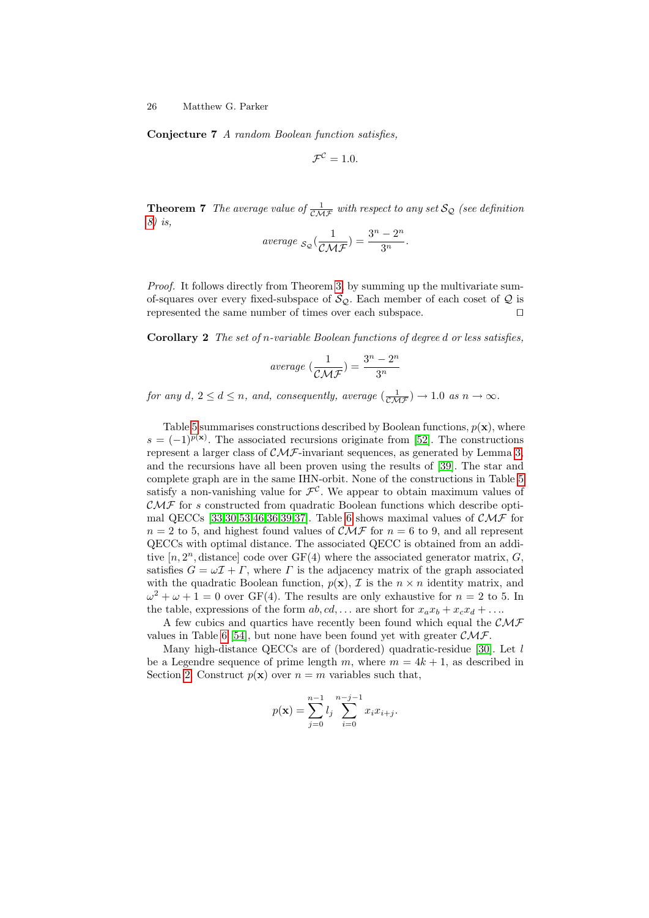Conjecture 7 A random Boolean function satisfies,

$$
\mathcal{F}^{\mathcal{C}}=1.0.
$$

**Theorem 7** The [av](#page-17-0)erage value of  $\frac{1}{\mathcal{CMF}}$  with respect to any set  $\mathcal{S}_{\mathcal{Q}}$  (see definition 8) is,

$$
\textit{average } \ \mathit{S}_{\mathcal{Q}}\big(\frac{1}{\mathcal{CMF}}\big) = \frac{3^n - 2^n}{3^n}.
$$

Proof. It follows directly from Theorem 3, by summing up the multivariate sumof-squares over every fixed-subspace of  $\mathcal{S}_{\mathcal{Q}}$ . Each member of each coset of  $\mathcal{Q}$  is represented the same number of times over each subspace.  $\Box$ 

Corollary 2 The set of n-variable Boolean functions of degree d or less satisfies,

$$
\textit{average }(\frac{1}{\mathcal{CMF}})=\frac{3^n-2^n}{3^n}
$$

for any d,  $2 \le d \le n$ , and, consequently, [av](#page-29-14)erage  $\left(\frac{1}{\mathcal{CMF}}\right) \to 1.0$  as  $n \to \infty$ .

Table 5 summarises constructions described by Boolean functions,  $p(x)$ , where  $s = (-1)^{p(x)}$ . The associated recursions originate from [52]. The constructions [r](#page-30-4)[epr](#page-30-1)[ese](#page-29-11)[nt](#page-29-14) [a la](#page-29-12)rger cl[ass](#page-26-0) of  $\mathcal{CMF}$ -invariant sequences, as generated by Lemma 3. and the recursions have all been proven using the results of [39]. The star and complete graph are in the same IHN-orbit. None of the constructions in Table 5 satisfy a non-vanishing value for  $\mathcal{F}^{\mathcal{C}}$ . We appear to obtain maximum values of  $\mathcal{CMF}$  for s constructed from quadratic Boolean functions which describe optimal QECCs [33,30,53,46,36,39,37]. Table 6 shows maximal values of  $\mathcal{CMF}$  for  $n = 2$  to 5, and highest found values of  $\mathcal{CMF}$  for  $n = 6$  to 9, and all represent QECCs with optimal distance. The associated QECC is obtained from an additive  $[n, 2^n,$  distance] code over GF(4) where the associated generator matrix,  $G$ , satisfies  $G = \omega \mathcal{I} + \Gamma$ , where  $\Gamma$  is the adjacency matrix of the graph associated with [the](#page-29-6) quadratic Boolean function,  $p(x)$ ,  $\mathcal I$  is the  $n \times n$  identity matrix, and  $\omega^2 + \omega + 1 = 0$  over GF(4). The results are only exhaustive for  $n = 2$  to 5. In the table, expressions of the form  $ab, cd, \ldots$  are short for  $x_a x_b + x_c x_d + \ldots$ 

A few cubics and quartics have recently been found which equal the  $\mathcal{CMF}$ values in Table 6 [54], but none have been found yet with greater  $\mathcal{CMF}$ .

Many high-distance QECCs are of (bordered) quadratic-residue [30]. Let l be a Legendre sequence of prime length m, where  $m = 4k + 1$ , as described in Section 2. Construct  $p(\mathbf{x})$  over  $n = m$  variables such that,

$$
p(\mathbf{x}) = \sum_{j=0}^{n-1} l_j \sum_{i=0}^{n-j-1} x_i x_{i+j}.
$$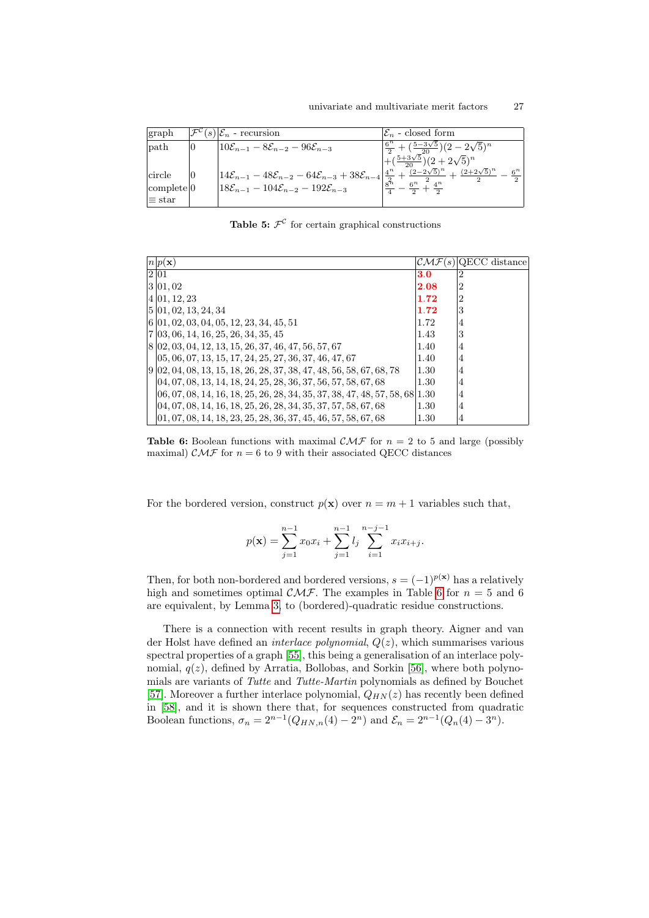| graph         | $ \mathcal{F}^{\mathcal{C}}(s) \mathcal{E}_n$ - recursion                                                                                                             | $ \mathcal{E}_n$ - closed form                                         |
|---------------|-----------------------------------------------------------------------------------------------------------------------------------------------------------------------|------------------------------------------------------------------------|
| path          | $10\mathcal{E}_{n-1} - 8\mathcal{E}_{n-2} - 96\mathcal{E}_{n-3}$                                                                                                      | $\left(\frac{6^n}{2} + (\frac{5-3\sqrt{5}}{20})(2-2\sqrt{5})^n\right)$ |
|               |                                                                                                                                                                       | $+\left(\frac{5+3\sqrt{5}}{20}\right)(2+2\sqrt{5})^n$                  |
| circle        | $\left 14 \mathcal{E}_{n-1}-48 \mathcal{E}_{n-2}-64 \mathcal{E}_{n-3}+38 \mathcal{E}_{n-4}\right  \tfrac{4^n}{2}+\frac{(2-2\sqrt{5})^n}{2}+\frac{(2+2\sqrt{5})^n}{2}$ | $6^n$                                                                  |
| complete 0    | $18\mathcal{E}_{n-1} - 104\mathcal{E}_{n-2} - 192\mathcal{E}_{n-3}$                                                                                                   |                                                                        |
| $\equiv$ star |                                                                                                                                                                       |                                                                        |

**Table 5:**  $\mathcal{F}^{\mathcal{C}}$  for certain graphical constructions

| $n p(\mathbf{x})$                                                              |      | $\mathcal{CMF}(s)$  QECC distance |
|--------------------------------------------------------------------------------|------|-----------------------------------|
| 2 01                                                                           | 3.0  | $\overline{2}$                    |
| 3 01,02                                                                        | 2.08 | 2                                 |
| 4 01, 12, 23                                                                   | 1.72 | 2                                 |
| 5 01, 02, 13, 24, 34                                                           | 1.72 | 3                                 |
| $6 01, 02, 03, 04, 05, 12, 23, 34, 45, 51$                                     | 1.72 | 4                                 |
| 7 03, 06, 14, 16, 25, 26, 34, 35, 45                                           | 1.43 | 3                                 |
| 8 02, 03, 04, 12, 13, 15, 26, 37, 46, 47, 56, 57, 67                           | 1.40 | 4                                 |
| $ 05, 06, 07, 13, 15, 17, 24, 25, 27, 36, 37, 46, 47, 67$                      | 1.40 | 4                                 |
| $9\,102, 04, 08, 13, 15, 18, 26, 28, 37, 38, 47, 48, 56, 58, 67, 68, 78$       | 1.30 | 4                                 |
| $[04, 07, 08, 13, 14, 18, 24, 25, 28, 36, 37, 56, 57, 58, 67, 68]$             | 1.30 | 4                                 |
| $[06, 07, 08, 14, 16, 18, 25, 26, 28, 34, 35, 37, 38, 47, 48, 57, 58, 68]1.30$ |      | 4                                 |
| $[04, 07, 08, 14, 16, 18, 25, 26, 28, 34, 35, 37, 57, 58, 67, 68]$             | 1.30 | 4                                 |
| $[01, 07, 08, 14, 18, 23, 25, 28, 36, 37, 45, 46, 57, 58, 67, 68]$             | 1.30 | 4                                 |

<span id="page-26-0"></span>**Table 6:** Boolean functions with maximal  $\mathcal{CMF}$  for  $n = 2$  to 5 and large (possibly maximal)  $\mathcal{CMF}$  for  $n = 6$  to 9 with their associated QECC distances

For the bordered version, construct  $p(\mathbf{x})$  over  $n = m + 1$  variables such that,

$$
p(\mathbf{x}) = \sum_{j=1}^{n-1} x_0 x_i + \sum_{j=1}^{n-1} l_j \sum_{i=1}^{n-j-1} x_i x_{i+j}.
$$

Then, fo[r bo](#page-30-5)th non-bordered and bordered versions,  $s = (-1)^{p(x)}$  has a relatively high and sometimes optimal  $\mathcal{CMF}$ [. T](#page-30-6)he examples in Table 6 for  $n = 5$  and 6 are equivalent, by Lemma 3, to (bordered)-quadratic residue constructions.

There is a connection with recent results in graph theory. Aigner and van der Holst have defined an *interlace polynomial*,  $Q(z)$ , which summarises various spectral properties of a graph [55], this being a generalisation of an interlace polynomial,  $q(z)$ , defined by Arratia, Bollobas, and Sorkin [56], where both polynomials are variants of Tutte and Tutte-Martin polynomials as defined by Bouchet [57]. Moreover a further interlace polynomial,  $Q_{HN}(z)$  has recently been defined in [58], and it is shown there that, for sequences constructed from quadratic Boolean functions,  $\sigma_n = 2^{n-1}(Q_{HN,n}(4) - 2^n)$  and  $\mathcal{E}_n = 2^{n-1}(Q_n(4) - 3^n)$ .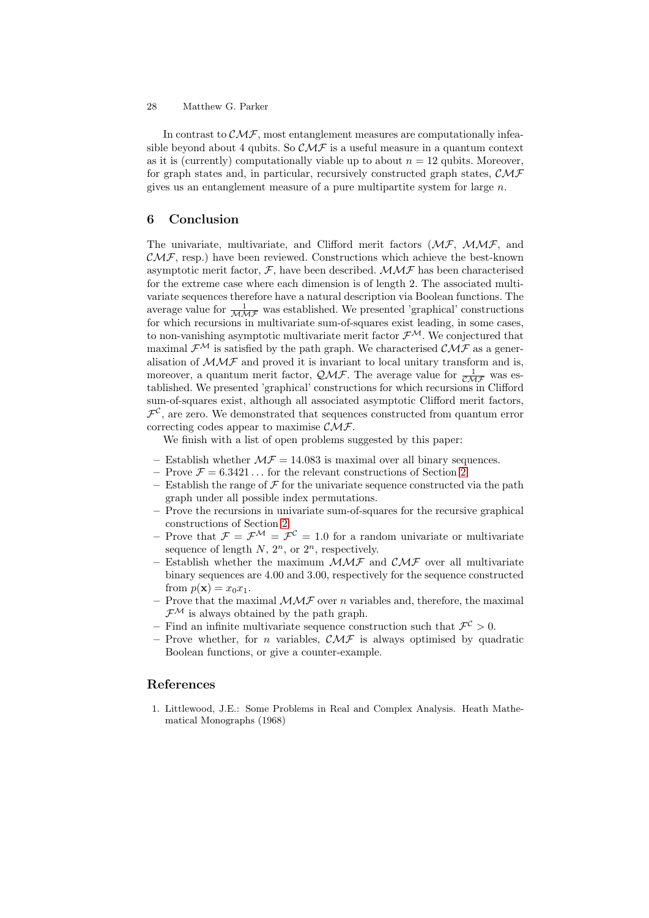In contrast to  $\mathcal{CMF}$ , most entanglement measures are computationally infeasible beyond about 4 qubits. So  $\mathcal{CMF}$  is a useful measure in a quantum context as it is (currently) computationally viable up to about  $n = 12$  qubits. Moreover, for graph states and, in particular, recursively constructed graph states,  $\mathcal{CMF}$ gives us an entanglement measure of a pure multipartite system for large  $n$ .

# 6 Conclusion

The univariate, multivariate, and Clifford merit factors  $(MF, MMF, and$  $\mathcal{CMF}$ , resp.) have been reviewed. Constructions which achieve the best-known asymptotic merit factor,  $F$ , have been described.  $MMF$  has been characterised for the extreme case where each dimension is of length 2. The associated multivariate sequences therefore have a natural description via Boolean functions. The average value for  $\frac{1}{\mathcal{M}\mathcal{M}\mathcal{F}}$  was established. We presented 'graphical' constructions for which recursions in multivariate sum-of-squares exist leading, in some cases, to non-vanishing asymptotic multivariate merit factor  $\mathcal{F}^{\mathcal{M}}$ . We conjectured that maximal  $\mathcal{F}^{\mathcal{M}}$  is satisfied by the path graph. We characterised  $\mathcal{CMF}$  as a generalisation of  $MMF$  and proved it is invariant to local unitary transform and is, moreover, a quantum merit factor,  $\mathcal{QMF}$ . The average value for  $\frac{1}{\mathcal{CMF}}$  was established. We presented 'graphical' constructions for which recursions in Clifford sum-of-squares exist, although all associated [a](#page-6-3)symptotic Clifford merit factors,  $\mathcal{F}^{\mathcal{C}}$ , are zero. We demonstrated that sequences constructed from quantum error correcting codes appear to maximise  $\mathcal{CMF}$ .

We finish with a list of open problems suggested by this paper:

- Es[tab](#page-6-3)lish whether  $M\mathcal{F} = 14.083$  is maximal over all binary sequences.
- Prove  $\mathcal{F} = 6.3421...$  for the relevant constructions of Section 2.
- Establish the range of  $\mathcal F$  for the univariate sequence constructed via the path graph under all possible index permutations.
- Prove the recursions in univariate sum-of-squares for the recursive graphical constructions of Section 2.
- Prove that  $\mathcal{F} = \mathcal{F}^{\mathcal{M}} = \mathcal{F}^{\mathcal{C}} = 1.0$  for a random univariate or multivariate sequence of length  $N$ ,  $2^n$ , or  $2^n$ , respectively.
- Establish whether the maximum  $MMF$  and  $CMF$  over all multivariate binary sequences are 4.00 and 3.00, respectively for the sequence constructed from  $p(\mathbf{x}) = x_0 x_1$ .
- Prove that the maximal  $\mathcal{M}\mathcal{M}\mathcal{F}$  over n variables and, therefore, the maximal  $\mathcal{F}^{\mathcal{M}}$  is always obtained by the path graph.
- Find an infinite multivariate sequence construction such that  $\mathcal{F}^{\mathcal{C}} > 0$ .
- <span id="page-27-0"></span>– Prove whether, for *n* variables,  $\mathcal{CMF}$  is always optimised by quadratic Boolean functions, or give a counter-example.

# References

1. Littlewood, J.E.: Some Problems in Real and Complex Analysis. Heath Mathematical Monographs (1968)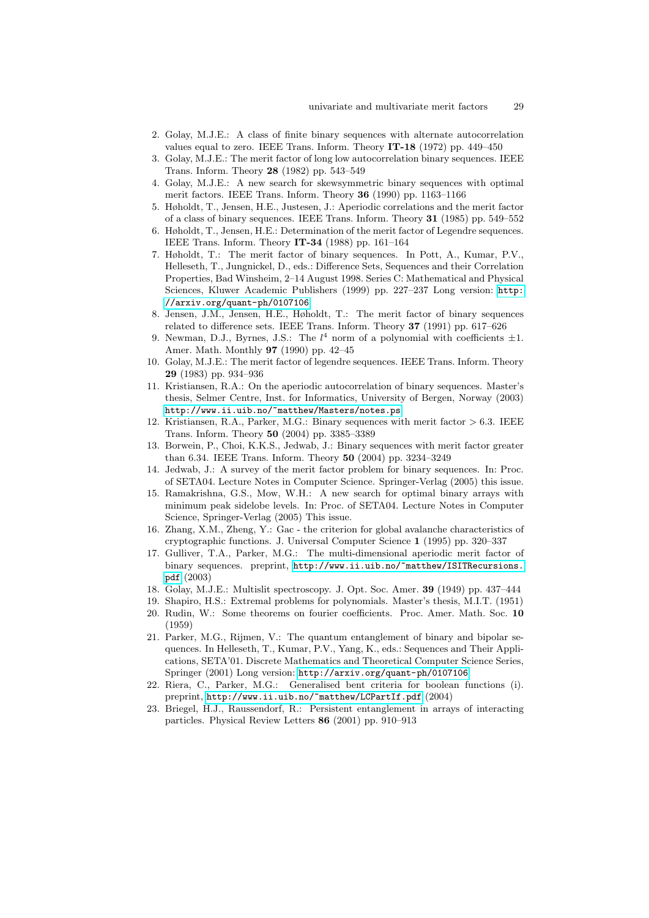- <span id="page-28-3"></span><span id="page-28-2"></span><span id="page-28-1"></span><span id="page-28-0"></span>2. Golay, M.J.E.: A class of finite binary sequences with alternate autocorrelation values equal to zero. IEEE Trans. Inform. Theory  $IT-18$  (1972) pp. 449–450
- <span id="page-28-4"></span>3. Golay, M.J.E.: The merit factor of long low autocorrelation binary sequences. IEEE Trans. Inform. Theory 28 (1982) pp. 543–549
- <span id="page-28-5"></span>4. Golay, M.J.E.: A new search for skewsymmetric binary sequences with optimal merit factors. IEEE Trans. Inform. Theory 36 (1990) pp. 1163–1166
- 5. Høholdt, T., Jensen, H.E., Justesen, J.: Aperiodic correlations and the merit factor of a class of binary sequences. IEEE Trans. Inform. [Theory](http://arxiv.org/quant-ph/0107106) 31 (1985) pp. 549–552
- <span id="page-28-6"></span>6. [Høholdt, T](http://arxiv.org/quant-ph/0107106)., Jensen, H.E.: Determination of the merit factor of Legendre sequences. IEEE Trans. Inform. Theory IT-34 (1988) pp. 161–164
- <span id="page-28-7"></span>7. Høholdt, T.: The merit factor of binary sequences. In Pott, A., Kumar, P.V., Helleseth, T., Jungnickel, D., eds.: Difference Sets, Sequences and their Correlation Properties, Bad Winsheim, 2–14 August 1998. Series C: Mathematical and Physical Sciences, Kluwer Academic Publishers (1999) pp. 227–237 Long version: http: //arxiv.org/quant-ph/0107106.
- <span id="page-28-11"></span><span id="page-28-8"></span>8. Jensen, J.M., Jensen, H.E., Høholdt, T.: The merit factor of binary sequences related to difference sets. IEEE Trans. Inform. Theory 37 (1991) pp. 617–626
- 9. [Newman, D.J., Byrnes, J.S.: T](http://www.ii.uib.no/~matthew/Masters/notes.ps)he  $l^4$  norm of a polynomial with coefficients  $\pm 1$ . Amer. Math. Monthly 97 (1990) pp. 42–45
- <span id="page-28-20"></span>10. Golay, M.J.E.: The merit factor of legendre sequences. IEEE Trans. Inform. Theory 29 (1983) pp. 934–936
- <span id="page-28-21"></span><span id="page-28-19"></span>11. Kristiansen, R.A.: On the aperiodic autocorrelation of binary sequences. Master's thesis, Selmer Centre, Inst. for Informatics, University of Bergen, Norway (2003) http://www.ii.uib.no/~matthew/Masters/notes.ps.
- <span id="page-28-9"></span>12. Kristiansen, R.A., Parker, M.G.: Binary sequences with merit factor > 6.3. IEEE Trans. Inform. Theory 50 (2004) pp. 3385–3389
- <span id="page-28-10"></span>13. Borwein, P., Choi, K.K.S., Jedwab, J.: Binary sequences with merit factor greater than 6.34. IEEE Trans. Inform. Theory 50 (2004) pp. 3234–3249
- <span id="page-28-12"></span>14. Jedwab, J.: A survey of the merit factor problem for binary sequences. In: Proc. of SETA04. Lecture Notes in Computer Science. Springer-Verlag (2005) this issue.
- 15. Rama[krishna, G.S., Mow, W.H.: A new search for optim](http://www.ii.uib.no/~matthew/ISITRecursions.pdf)al binary arrays with minimum peak sidelobe levels. In: Proc. of SETA04. Lecture Notes in Computer Science, Springer-Verlag (2005) This issue.
- <span id="page-28-14"></span><span id="page-28-13"></span>16. Zhang, X.M., Zheng, Y.: Gac - the criterion for global avalanche characteristics of cryptographic functions. J. Universal Computer Science 1 (1995) pp. 320–337
- <span id="page-28-16"></span><span id="page-28-15"></span>17. Gulliver, T.A., Parker, M.G.: The multi-dimensional aperiodic merit factor of binary sequences. preprint, http://www.ii.uib.no/~matthew/ISITRecursions. pdf (2003)
- 18. Golay, M.J.E.: Multislit spectroscopy. J. Opt. Soc. Amer. 39 (1949) pp. 437–444
- 19. Shapir[o, H.S.: Extremal problems for polynom](http://arxiv.org/quant-ph/0107106)ials. Master's thesis, M.I.T. (1951)
- <span id="page-28-17"></span>20. Rudin, W.: Some theorems on fourier coefficients. Proc. Amer. Math. Soc. 10 [\(1959\)](http://www.ii.uib.no/~matthew/LCPartIf.pdf)
- <span id="page-28-18"></span>21. Parker, M.G., Rijmen, V.: The quantum entanglement of binary and bipolar sequences. In Helleseth, T., Kumar, P.V., Yang, K., eds.: Sequences and Their Applications, SETA'01. Discrete Mathematics and Theoretical Computer Science Series, Springer (2001) Long version: http://arxiv.org/quant-ph/0107106.
- 22. Riera, C., Parker, M.G.: Generalised bent criteria for boolean functions (i). preprint, http://www.ii.uib.no/~matthew/LCPartIf.pdf (2004)
- 23. Briegel, H.J., Raussendorf, R.: Persistent entanglement in arrays of interacting particles. Physical Review Letters 86 (2001) pp. 910–913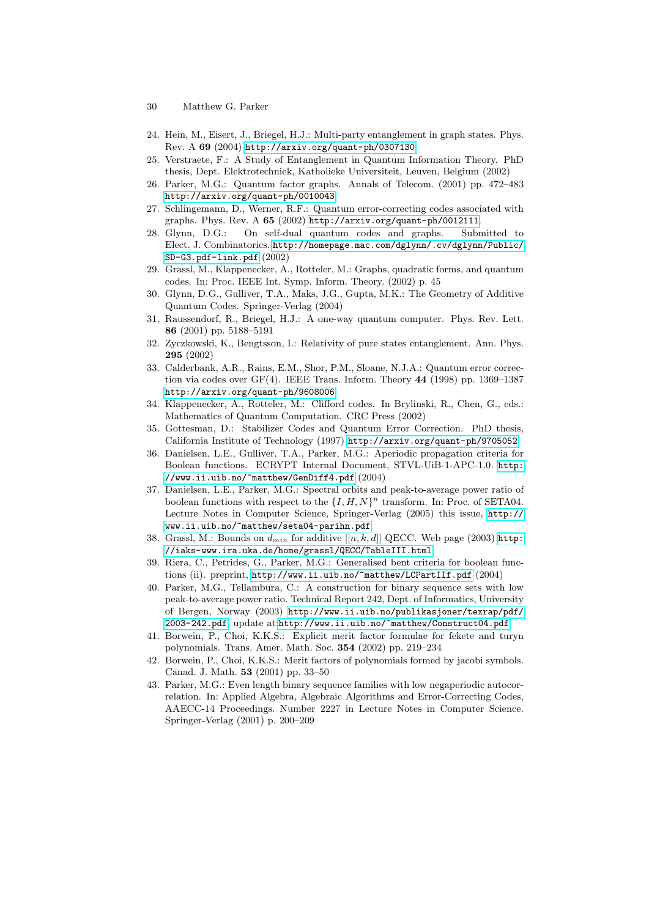- <span id="page-29-2"></span><span id="page-29-1"></span><span id="page-29-0"></span>30 Matthew G. Parker
- <span id="page-29-3"></span>24. [Hein, M., Eisert,](http://arxiv.org/quant-ph/0010043) J., Briegel, H.J.: Multi-party entanglement in graph states. Phys. Rev. A 69 (2004) [http://arxiv.org/quant-ph/0](http://arxiv.org/quant-ph/0012111)307130.
- <span id="page-29-4"></span>25. Verstraete, F.: A Study of Entanglement in Quantum Information Theory. PhD t[hesis, Dept. Elektrotechniek, Katholieke Universiteit, Leuv](http://homepage.mac.com/dglynn/.cv/dglynn/Public/SD-G3.pdf-link.pdf)en, Belgium (2002)
- [26.](http://homepage.mac.com/dglynn/.cv/dglynn/Public/SD-G3.pdf-link.pdf) Parker, M.G.: Quantum factor graphs. Annals of Telecom. (2001) pp. 472–483 http://arxiv.org/quant-ph/0010043.
- <span id="page-29-6"></span><span id="page-29-5"></span>27. Schlingemann, D., Werner, R.F.: Quantum error-correcting codes associated with graphs. Phys. Rev. A 65 (2002) http://arxiv.org/quant-ph/0012111.
- <span id="page-29-7"></span>28. Glynn, D.G.: On self-dual quantum codes and graphs. Submitted to Elect. J. Combinatorics. http://homepage.mac.com/dglynn/.cv/dglynn/Public/ SD-G3.pdf-link.pdf (2002)
- 29. Grassl, M., Klappenecker, A., Rotteler, M.: Graphs, quadratic forms, and quantum codes. In: Proc. IEEE Int. Symp. Inform. Theory. (2002) p. 45
- <span id="page-29-8"></span>30. Glynn, D.G., Gulliver, T.A., Maks, J.G., Gupta, M.K.: The Geometry of Additive Quantum Codes. Springer-Verlag (2004)
- 31. [Raussendorf, R.](http://arxiv.org/quant-ph/9608006), Briegel, H.J.: A one-way quantum computer. Phys. Rev. Lett. 86 (2001) pp. 5188–5191
- <span id="page-29-9"></span>32. Zyczkowski, K., Bengtsson, I.: Relativity of pure states entanglement. Ann. Phys. 295 (2002)
- <span id="page-29-11"></span><span id="page-29-10"></span>33. Calderbank, A.R., [Rains, E.M., Shor, P.M., Sloane, N.J.A.](http://arxiv.org/quant-ph/9705052): Quantum error correction via codes over  $GF(4)$ . IEEE Trans. Inform. Theory 44 (1998) pp. 1369–1387 http://arxiv.org/quant-ph/9608006.
- 34. [Klappenecker, A., R](http://www.ii.uib.no/~matthew/GenDiff4.pdf)otteler, M.: Clifford codes. In [Brylins](http://www.ii.uib.no/~matthew/GenDiff4.pdf)ki, R., Chen, G., eds.: Mathematics of Quantum Computation. CRC Press (2002)
- <span id="page-29-12"></span>35. Gottesman, D.: Stabilizer Codes and Quantum Error Correction. PhD thesis, California Institute of Technology (1997) http://[arxiv.org](http://www.ii.uib.no/~matthew/seta04-parihn.pdf)/quant-ph/9705052.
- <span id="page-29-13"></span>36. [Danielsen, L.E., Gulliver](http://www.ii.uib.no/~matthew/seta04-parihn.pdf), T.A., Parker, M.G.: Aperiodic propagation criteria for Boolean functions. ECRYPT Internal Document, [STVL-U](http://iaks-www.ira.uka.de/home/grassl/QECC/TableIII.html)iB-1-APC-1.0. http: [//www.ii.uib.no/~matthew/GenDiff4](http://iaks-www.ira.uka.de/home/grassl/QECC/TableIII.html).pdf (2004)
- <span id="page-29-14"></span>37. Danielsen, L.E., Parker, M.G.: Spectral orbits and peak-to-average power ratio of [boolean functions with respect to the](http://www.ii.uib.no/~matthew/LCPartIIf.pdf)  $\{I, H, N\}^n$  transform. In: Proc. of SETA04. Lecture Notes in Computer Science, Springer-Verlag (2005) this issue, http:// www.ii.uib.no/~matthew/seta04-parihn.pdf.
- <span id="page-29-15"></span>38. Gras[sl, M.: Bounds on](http://www.ii.uib.no/publikasjoner/texrap/pdf/2003-242.pdf)  $d_{min}$  for additive  $[[n, k, d]]$  QECC. Web page (2003) http: //[iaks-www.ira.uka.de/home/grassl/QECC/TableIII.](http://www.ii.uib.no/~matthew/Construct04.pdf)html.
- 39. Riera, C., Petrides, G., Parker, M.G.: Generalised bent criteria for boolean functions (ii). preprint, http://www.ii.uib.no/~matthew/LCPartIIf.pdf (2004)
- 40. Parker, M.G., Tellambura, C.: A construction for binary sequence sets with low peak-to-average power ratio. Technical Report 242, Dept. of Informatics, University of Bergen, Norway (2003) http://www.ii.uib.no/publikasjoner/texrap/pdf/ 2003-242.pdf, update at:http://www.ii.uib.no/~matthew/Construct04.pdf.
- <span id="page-29-16"></span>41. Borwein, P., Choi, K.K.S.: Explicit merit factor formulae for fekete and turyn polynomials. Trans. Amer. Math. Soc. 354 (2002) pp. 219–234
- 42. Borwein, P., Choi, K.K.S.: Merit factors of polynomials formed by jacobi symbols. Canad. J. Math. 53 (2001) pp. 33–50
- 43. Parker, M.G.: Even length binary sequence families with low negaperiodic autocorrelation. In: Applied Algebra, Algebraic Algorithms and Error-Correcting Codes, AAECC-14 Proceedings. Number 2227 in Lecture Notes in Computer Science. Springer-Verlag (2001) p. 200–209